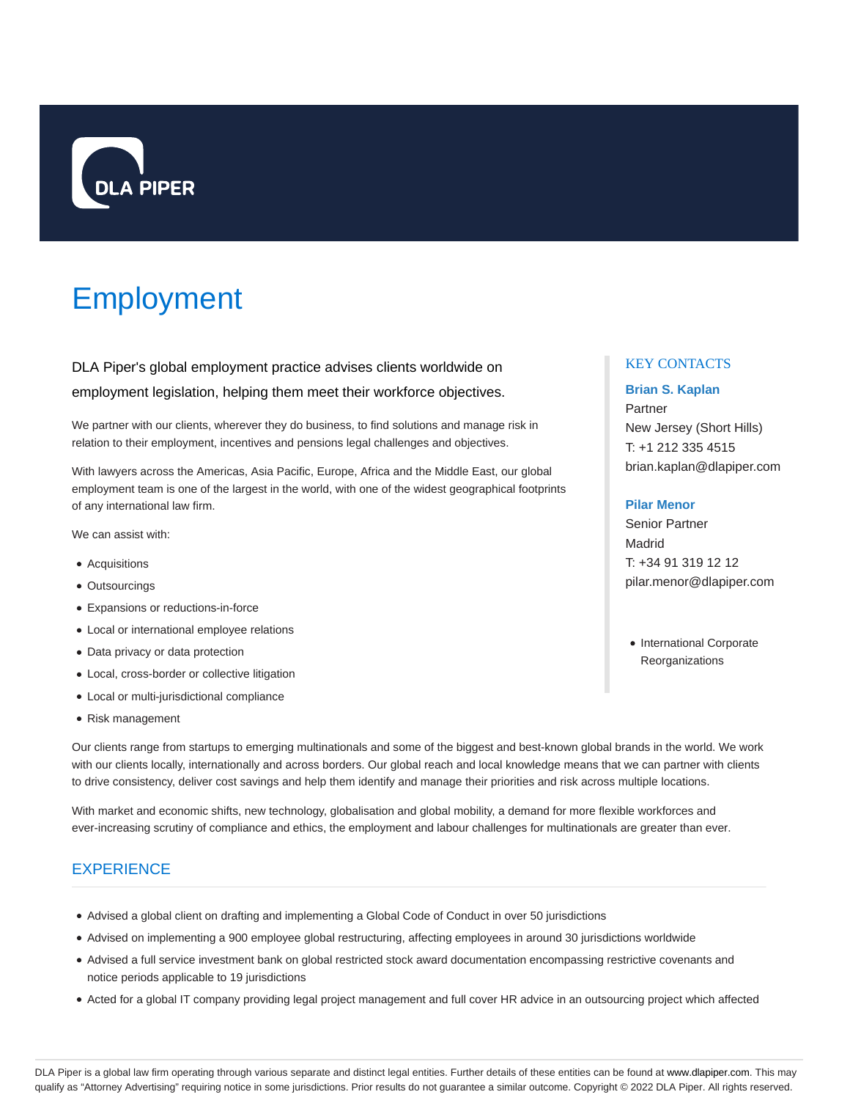

# Employment

DLA Piper's global employment practice advises clients worldwide on employment legislation, helping them meet their workforce objectives.

We partner with our clients, wherever they do business, to find solutions and manage risk in relation to their employment, incentives and pensions legal challenges and objectives.

With lawyers across the Americas, Asia Pacific, Europe, Africa and the Middle East, our global employment team is one of the largest in the world, with one of the widest geographical footprints of any international law firm.

We can assist with:

- Acquisitions
- Outsourcings
- Expansions or reductions-in-force
- Local or international employee relations
- Data privacy or data protection
- Local, cross-border or collective litigation
- Local or multi-jurisdictional compliance
- Risk management

Our clients range from startups to emerging multinationals and some of the biggest and best-known global brands in the world. We work with our clients locally, internationally and across borders. Our global reach and local knowledge means that we can partner with clients to drive consistency, deliver cost savings and help them identify and manage their priorities and risk across multiple locations.

With market and economic shifts, new technology, globalisation and global mobility, a demand for more flexible workforces and ever-increasing scrutiny of compliance and ethics, the employment and labour challenges for multinationals are greater than ever.

# **EXPERIENCE**

- Advised a global client on drafting and implementing a Global Code of Conduct in over 50 jurisdictions
- Advised on implementing a 900 employee global restructuring, affecting employees in around 30 jurisdictions worldwide
- Advised a full service investment bank on global restricted stock award documentation encompassing restrictive covenants and notice periods applicable to 19 jurisdictions
- Acted for a global IT company providing legal project management and full cover HR advice in an outsourcing project which affected

# KEY CONTACTS

# **Brian S. Kaplan**

Partner New Jersey (Short Hills) T: +1 212 335 4515 brian.kaplan@dlapiper.com

# **Pilar Menor**

Senior Partner Madrid T: +34 91 319 12 12 pilar.menor@dlapiper.com

• International Corporate **Reorganizations**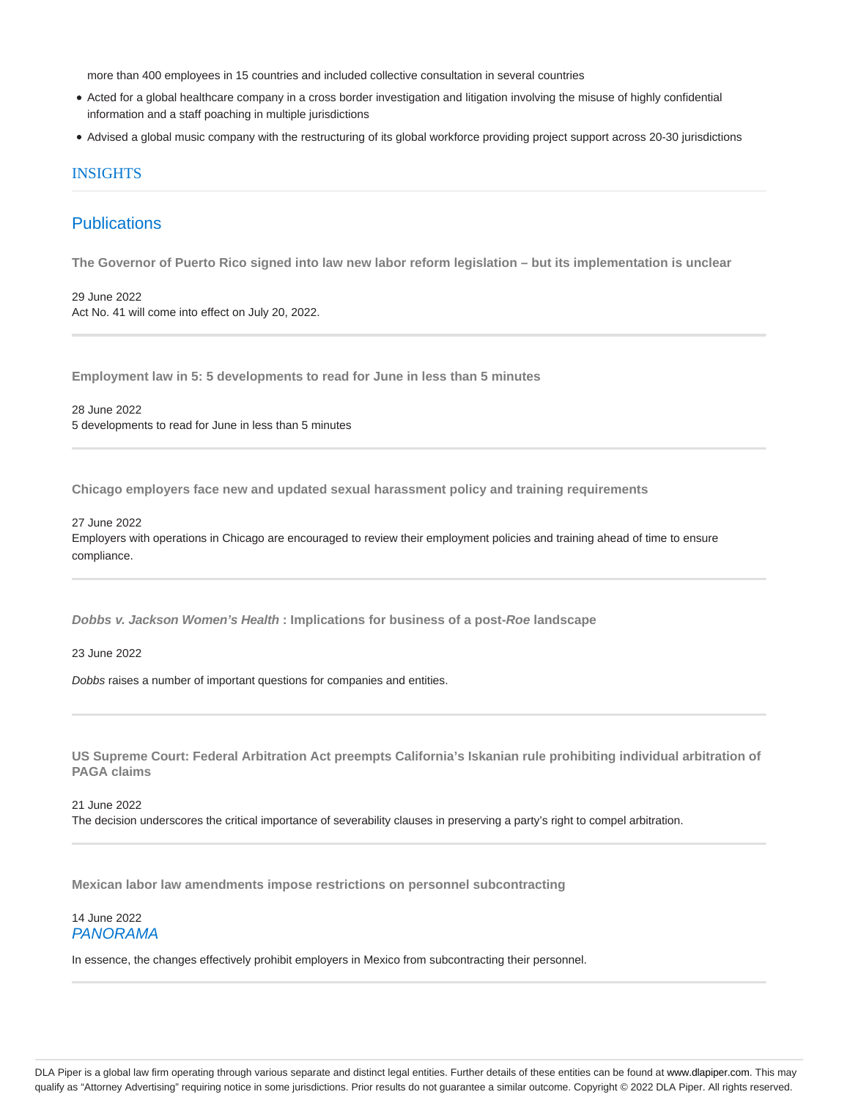more than 400 employees in 15 countries and included collective consultation in several countries

- Acted for a global healthcare company in a cross border investigation and litigation involving the misuse of highly confidential information and a staff poaching in multiple jurisdictions
- Advised a global music company with the restructuring of its global workforce providing project support across 20-30 jurisdictions

# **INSIGHTS**

# **Publications**

**The Governor of Puerto Rico signed into law new labor reform legislation – but its implementation is unclear**

29 June 2022 Act No. 41 will come into effect on July 20, 2022.

**Employment law in 5: 5 developments to read for June in less than 5 minutes**

28 June 2022 5 developments to read for June in less than 5 minutes

**Chicago employers face new and updated sexual harassment policy and training requirements**

27 June 2022 Employers with operations in Chicago are encouraged to review their employment policies and training ahead of time to ensure compliance.

**Dobbs v. Jackson Women's Health : Implications for business of a post-Roe landscape**

23 June 2022

Dobbs raises a number of important questions for companies and entities.

**US Supreme Court: Federal Arbitration Act preempts California's Iskanian rule prohibiting individual arbitration of PAGA claims**

21 June 2022 The decision underscores the critical importance of severability clauses in preserving a party's right to compel arbitration.

**Mexican labor law amendments impose restrictions on personnel subcontracting**

14 June 2022 PANORAMA

In essence, the changes effectively prohibit employers in Mexico from subcontracting their personnel.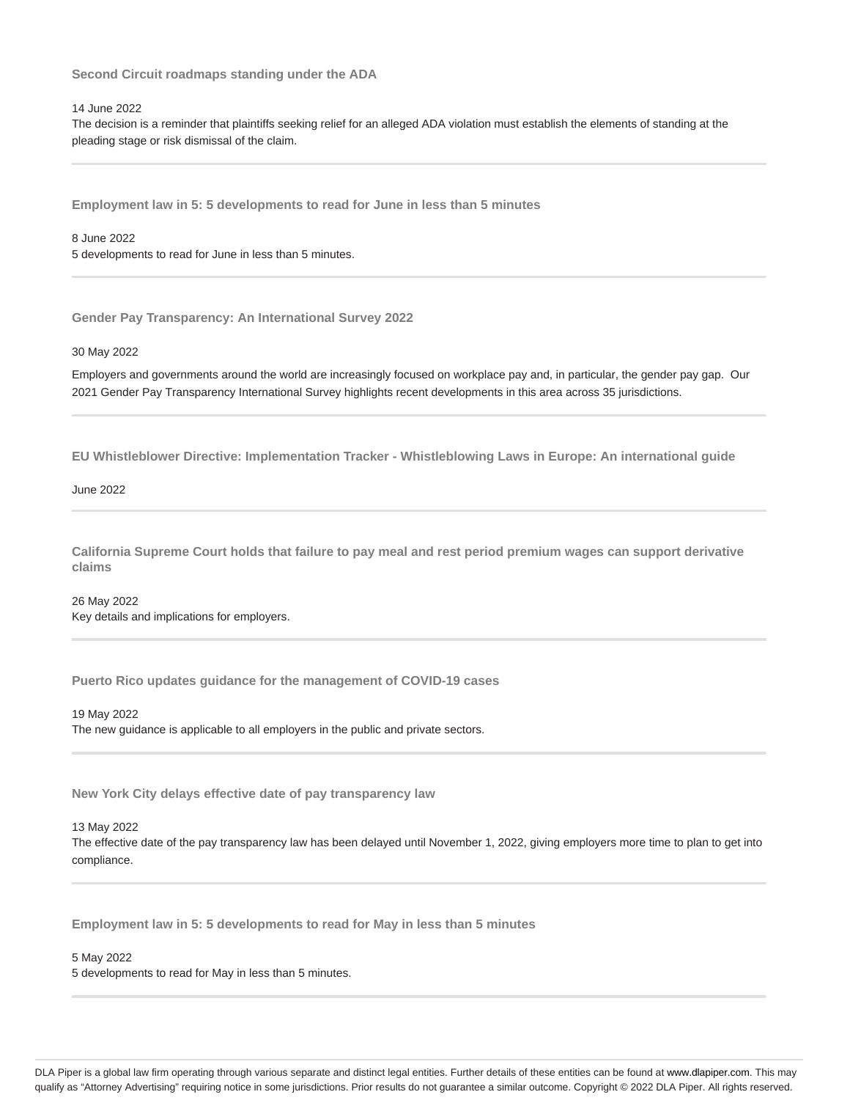**Second Circuit roadmaps standing under the ADA**

# 14 June 2022

The decision is a reminder that plaintiffs seeking relief for an alleged ADA violation must establish the elements of standing at the pleading stage or risk dismissal of the claim.

**Employment law in 5: 5 developments to read for June in less than 5 minutes**

8 June 2022 5 developments to read for June in less than 5 minutes.

**Gender Pay Transparency: An International Survey 2022**

30 May 2022

Employers and governments around the world are increasingly focused on workplace pay and, in particular, the gender pay gap. Our 2021 Gender Pay Transparency International Survey highlights recent developments in this area across 35 jurisdictions.

**EU Whistleblower Directive: Implementation Tracker - Whistleblowing Laws in Europe: An international guide**

June 2022

**California Supreme Court holds that failure to pay meal and rest period premium wages can support derivative claims**

26 May 2022 Key details and implications for employers.

**Puerto Rico updates guidance for the management of COVID-19 cases**

19 May 2022

The new guidance is applicable to all employers in the public and private sectors.

**New York City delays effective date of pay transparency law**

13 May 2022

The effective date of the pay transparency law has been delayed until November 1, 2022, giving employers more time to plan to get into compliance.

**Employment law in 5: 5 developments to read for May in less than 5 minutes**

5 May 2022

5 developments to read for May in less than 5 minutes.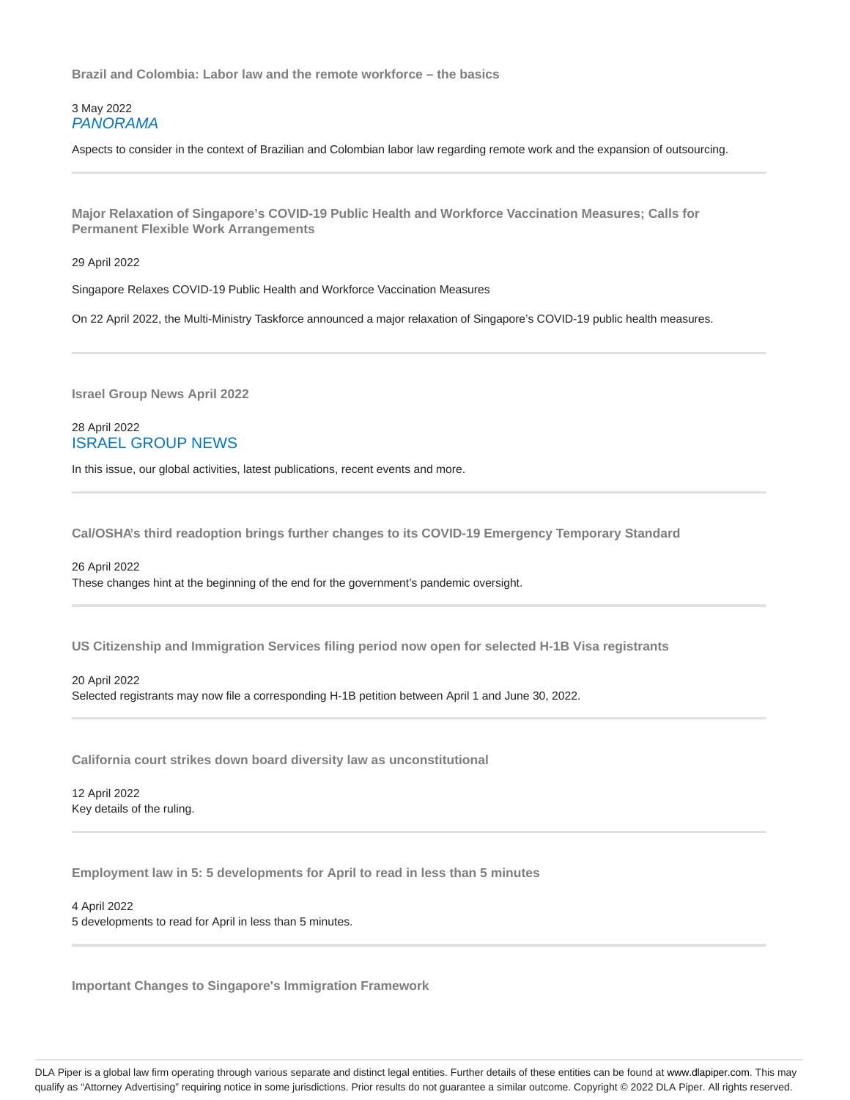**Brazil and Colombia: Labor law and the remote workforce – the basics**

3 May 2022 PANORAMA

Aspects to consider in the context of Brazilian and Colombian labor law regarding remote work and the expansion of outsourcing.

**Major Relaxation of Singapore's COVID-19 Public Health and Workforce Vaccination Measures; Calls for Permanent Flexible Work Arrangements**

29 April 2022

Singapore Relaxes COVID-19 Public Health and Workforce Vaccination Measures

On 22 April 2022, the Multi-Ministry Taskforce announced a major relaxation of Singapore's COVID-19 public health measures.

**Israel Group News April 2022**

28 April 2022 ISRAEL GROUP NEWS

In this issue, our global activities, latest publications, recent events and more.

**Cal/OSHA's third readoption brings further changes to its COVID-19 Emergency Temporary Standard**

26 April 2022 These changes hint at the beginning of the end for the government's pandemic oversight.

**US Citizenship and Immigration Services filing period now open for selected H-1B Visa registrants**

# 20 April 2022

Selected registrants may now file a corresponding H-1B petition between April 1 and June 30, 2022.

**California court strikes down board diversity law as unconstitutional**

12 April 2022 Key details of the ruling.

**Employment law in 5: 5 developments for April to read in less than 5 minutes**

4 April 2022 5 developments to read for April in less than 5 minutes.

**Important Changes to Singapore's Immigration Framework**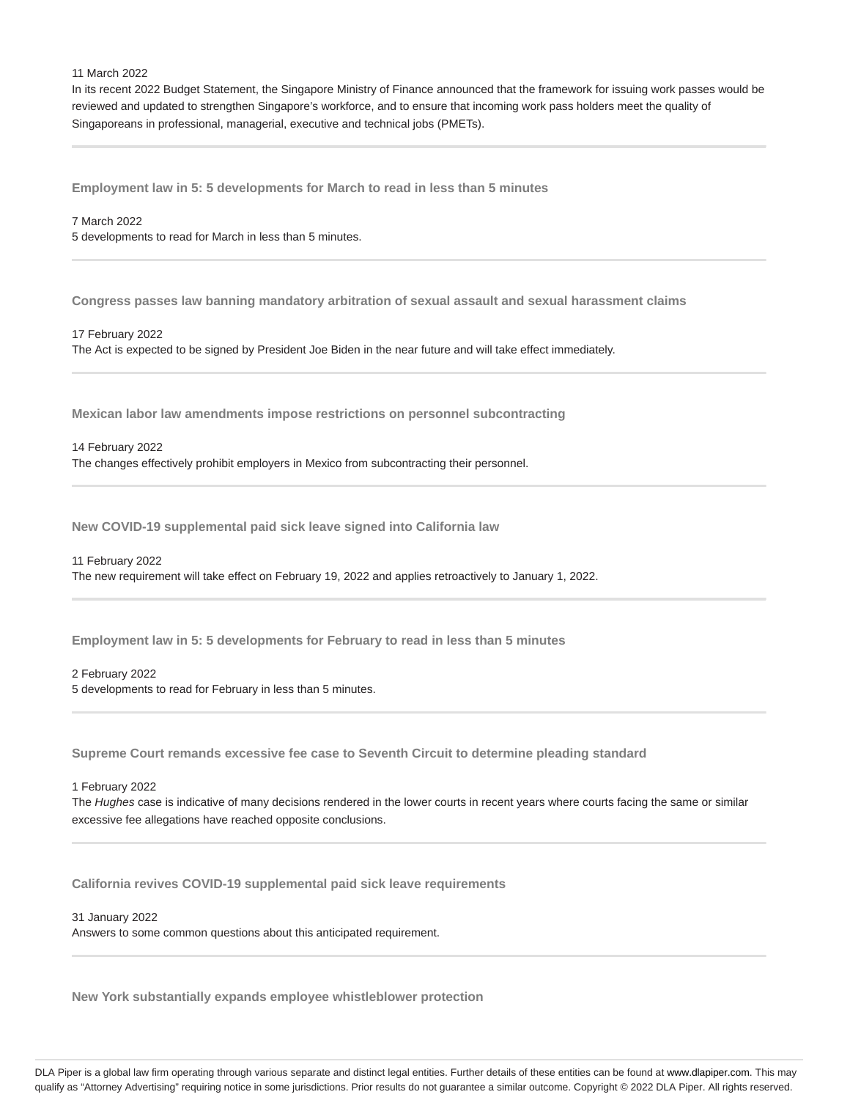#### 11 March 2022

In its recent 2022 Budget Statement, the Singapore Ministry of Finance announced that the framework for issuing work passes would be reviewed and updated to strengthen Singapore's workforce, and to ensure that incoming work pass holders meet the quality of Singaporeans in professional, managerial, executive and technical jobs (PMETs).

**Employment law in 5: 5 developments for March to read in less than 5 minutes**

# 7 March 2022

5 developments to read for March in less than 5 minutes.

**Congress passes law banning mandatory arbitration of sexual assault and sexual harassment claims**

#### 17 February 2022

The Act is expected to be signed by President Joe Biden in the near future and will take effect immediately.

**Mexican labor law amendments impose restrictions on personnel subcontracting**

#### 14 February 2022

The changes effectively prohibit employers in Mexico from subcontracting their personnel.

**New COVID-19 supplemental paid sick leave signed into California law**

#### 11 February 2022

The new requirement will take effect on February 19, 2022 and applies retroactively to January 1, 2022.

**Employment law in 5: 5 developments for February to read in less than 5 minutes**

#### 2 February 2022

5 developments to read for February in less than 5 minutes.

**Supreme Court remands excessive fee case to Seventh Circuit to determine pleading standard**

#### 1 February 2022

The Hughes case is indicative of many decisions rendered in the lower courts in recent years where courts facing the same or similar excessive fee allegations have reached opposite conclusions.

**California revives COVID-19 supplemental paid sick leave requirements**

# 31 January 2022

Answers to some common questions about this anticipated requirement.

**New York substantially expands employee whistleblower protection**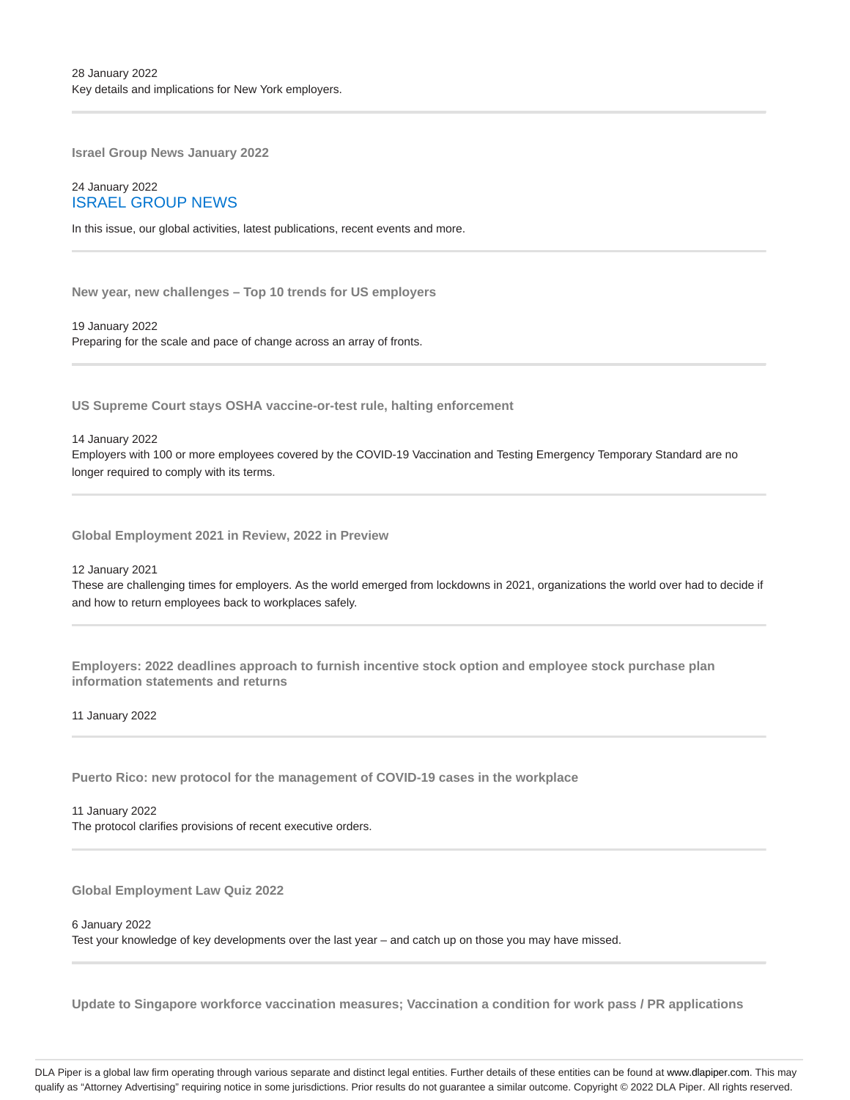**Israel Group News January 2022**

# 24 January 2022 ISRAEL GROUP NEWS

In this issue, our global activities, latest publications, recent events and more.

**New year, new challenges – Top 10 trends for US employers**

19 January 2022 Preparing for the scale and pace of change across an array of fronts.

**US Supreme Court stays OSHA vaccine-or-test rule, halting enforcement**

14 January 2022

Employers with 100 or more employees covered by the COVID-19 Vaccination and Testing Emergency Temporary Standard are no longer required to comply with its terms.

**Global Employment 2021 in Review, 2022 in Preview**

12 January 2021

These are challenging times for employers. As the world emerged from lockdowns in 2021, organizations the world over had to decide if and how to return employees back to workplaces safely.

**Employers: 2022 deadlines approach to furnish incentive stock option and employee stock purchase plan information statements and returns**

11 January 2022

**Puerto Rico: new protocol for the management of COVID-19 cases in the workplace**

11 January 2022 The protocol clarifies provisions of recent executive orders.

**Global Employment Law Quiz 2022**

### 6 January 2022

Test your knowledge of key developments over the last year – and catch up on those you may have missed.

**Update to Singapore workforce vaccination measures; Vaccination a condition for work pass / PR applications**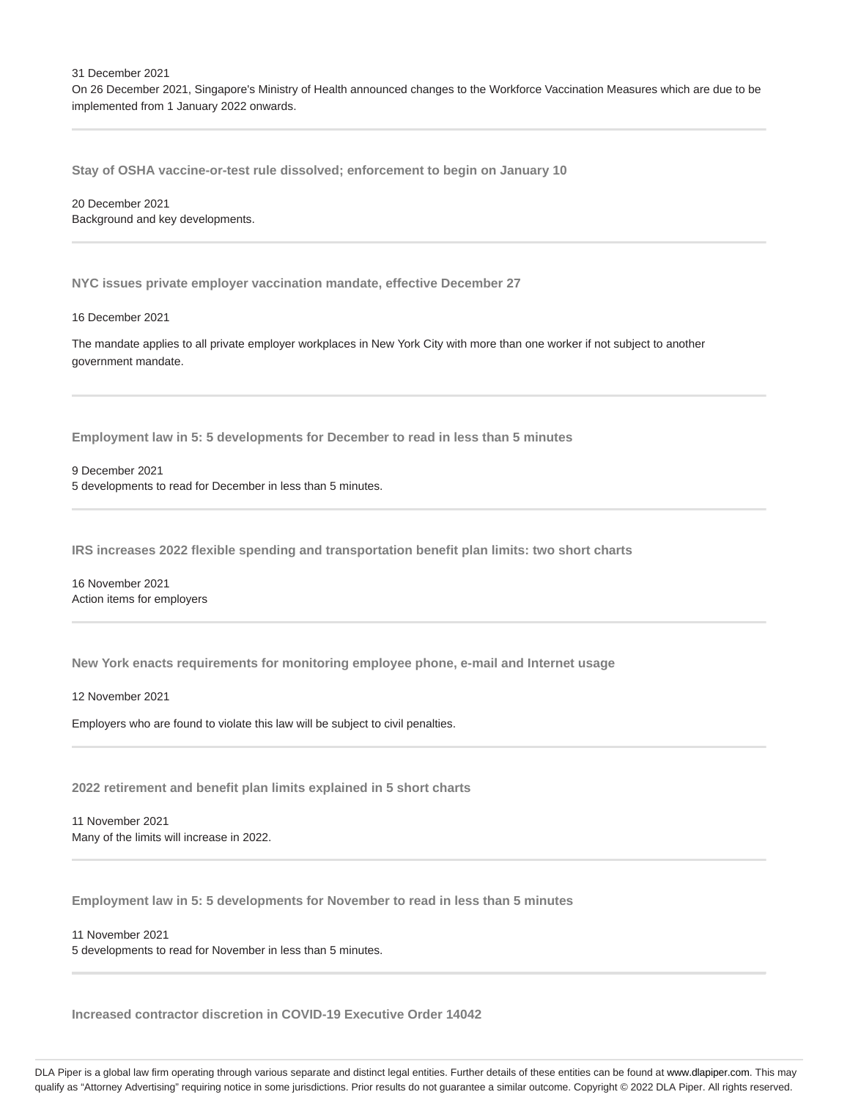31 December 2021 On 26 December 2021, Singapore's Ministry of Health announced changes to the Workforce Vaccination Measures which are due to be implemented from 1 January 2022 onwards.

**Stay of OSHA vaccine-or-test rule dissolved; enforcement to begin on January 10**

20 December 2021 Background and key developments.

**NYC issues private employer vaccination mandate, effective December 27**

16 December 2021

The mandate applies to all private employer workplaces in New York City with more than one worker if not subject to another government mandate.

**Employment law in 5: 5 developments for December to read in less than 5 minutes**

9 December 2021 5 developments to read for December in less than 5 minutes.

**IRS increases 2022 flexible spending and transportation benefit plan limits: two short charts**

16 November 2021 Action items for employers

**New York enacts requirements for monitoring employee phone, e-mail and Internet usage**

12 November 2021

Employers who are found to violate this law will be subject to civil penalties.

**2022 retirement and benefit plan limits explained in 5 short charts**

11 November 2021 Many of the limits will increase in 2022.

**Employment law in 5: 5 developments for November to read in less than 5 minutes**

11 November 2021 5 developments to read for November in less than 5 minutes.

**Increased contractor discretion in COVID-19 Executive Order 14042**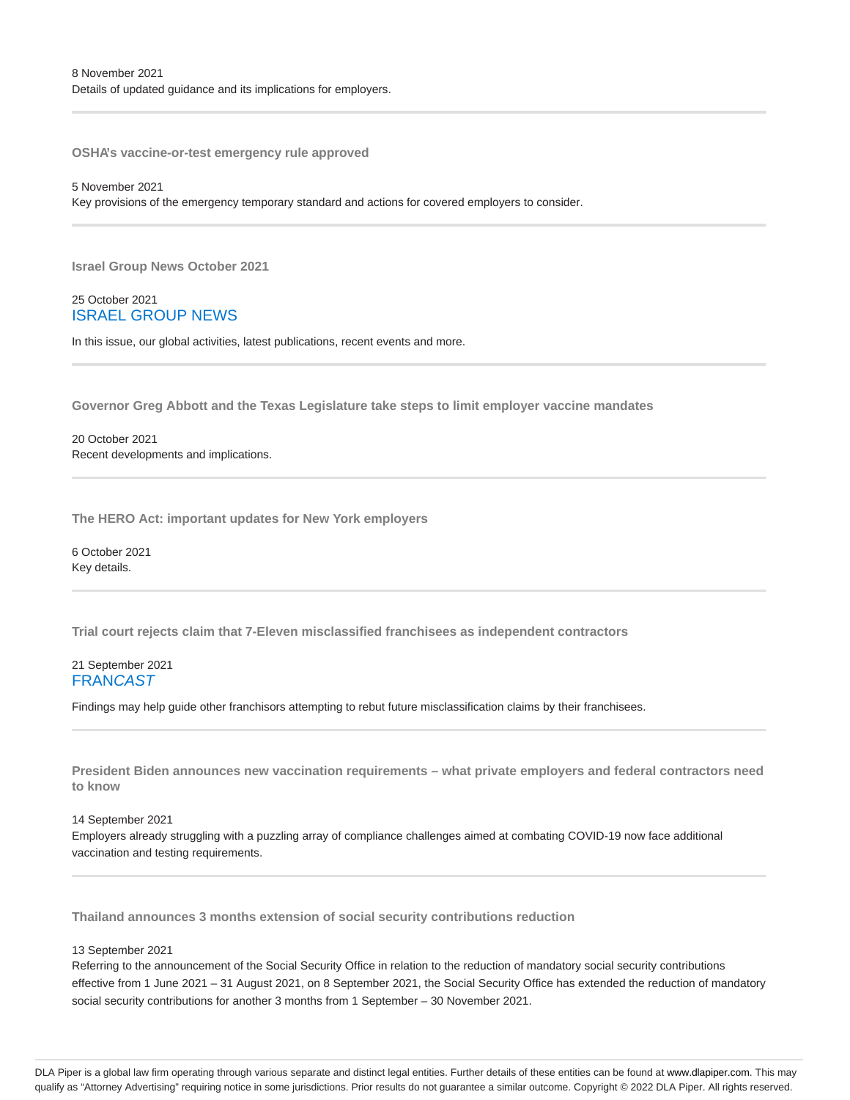**OSHA's vaccine-or-test emergency rule approved**

### 5 November 2021

Key provisions of the emergency temporary standard and actions for covered employers to consider.

**Israel Group News October 2021**

# 25 October 2021 ISRAEL GROUP NEWS

In this issue, our global activities, latest publications, recent events and more.

**Governor Greg Abbott and the Texas Legislature take steps to limit employer vaccine mandates**

20 October 2021 Recent developments and implications.

**The HERO Act: important updates for New York employers**

6 October 2021 Key details.

**Trial court rejects claim that 7-Eleven misclassified franchisees as independent contractors**

# 21 September 2021 **FRANCAST**

Findings may help guide other franchisors attempting to rebut future misclassification claims by their franchisees.

**President Biden announces new vaccination requirements – what private employers and federal contractors need to know**

14 September 2021

Employers already struggling with a puzzling array of compliance challenges aimed at combating COVID-19 now face additional vaccination and testing requirements.

**Thailand announces 3 months extension of social security contributions reduction**

# 13 September 2021

Referring to the announcement of the Social Security Office in relation to the reduction of mandatory social security contributions effective from 1 June 2021 – 31 August 2021, on 8 September 2021, the Social Security Office has extended the reduction of mandatory social security contributions for another 3 months from 1 September – 30 November 2021.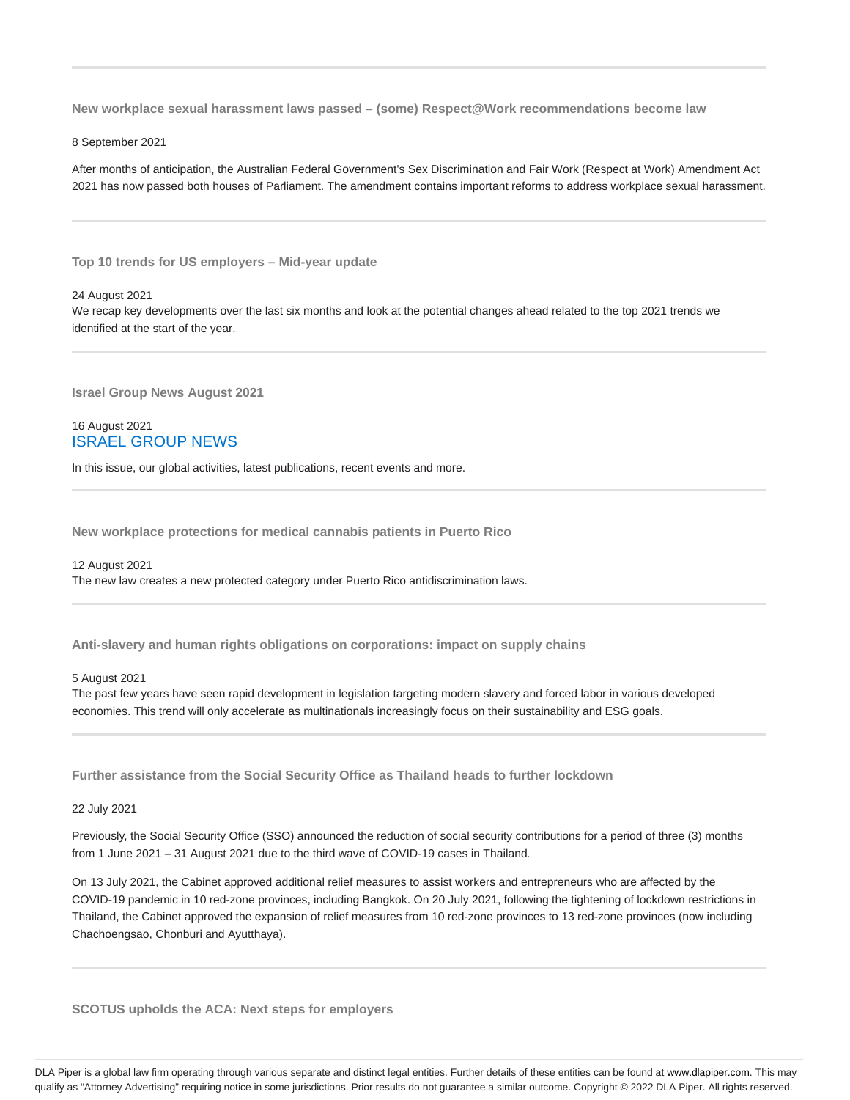**New workplace sexual harassment laws passed – (some) Respect@Work recommendations become law**

8 September 2021

After months of anticipation, the Australian Federal Government's Sex Discrimination and Fair Work (Respect at Work) Amendment Act 2021 has now passed both houses of Parliament. The amendment contains important reforms to address workplace sexual harassment.

**Top 10 trends for US employers – Mid-year update**

24 August 2021

We recap key developments over the last six months and look at the potential changes ahead related to the top 2021 trends we identified at the start of the year.

**Israel Group News August 2021**

16 August 2021 ISRAEL GROUP NEWS

In this issue, our global activities, latest publications, recent events and more.

**New workplace protections for medical cannabis patients in Puerto Rico**

12 August 2021 The new law creates a new protected category under Puerto Rico antidiscrimination laws.

**Anti-slavery and human rights obligations on corporations: impact on supply chains**

# 5 August 2021

The past few years have seen rapid development in legislation targeting modern slavery and forced labor in various developed economies. This trend will only accelerate as multinationals increasingly focus on their sustainability and ESG goals.

**Further assistance from the Social Security Office as Thailand heads to further lockdown**

22 July 2021

Previously, the Social Security Office (SSO) announced the reduction of social security contributions for a period of three (3) months from 1 June 2021 – 31 August 2021 due to the third wave of COVID-19 cases in Thailand.

On 13 July 2021, the Cabinet approved additional relief measures to assist workers and entrepreneurs who are affected by the COVID-19 pandemic in 10 red-zone provinces, including Bangkok. On 20 July 2021, following the tightening of lockdown restrictions in Thailand, the Cabinet approved the expansion of relief measures from 10 red-zone provinces to 13 red-zone provinces (now including Chachoengsao, Chonburi and Ayutthaya).

**SCOTUS upholds the ACA: Next steps for employers**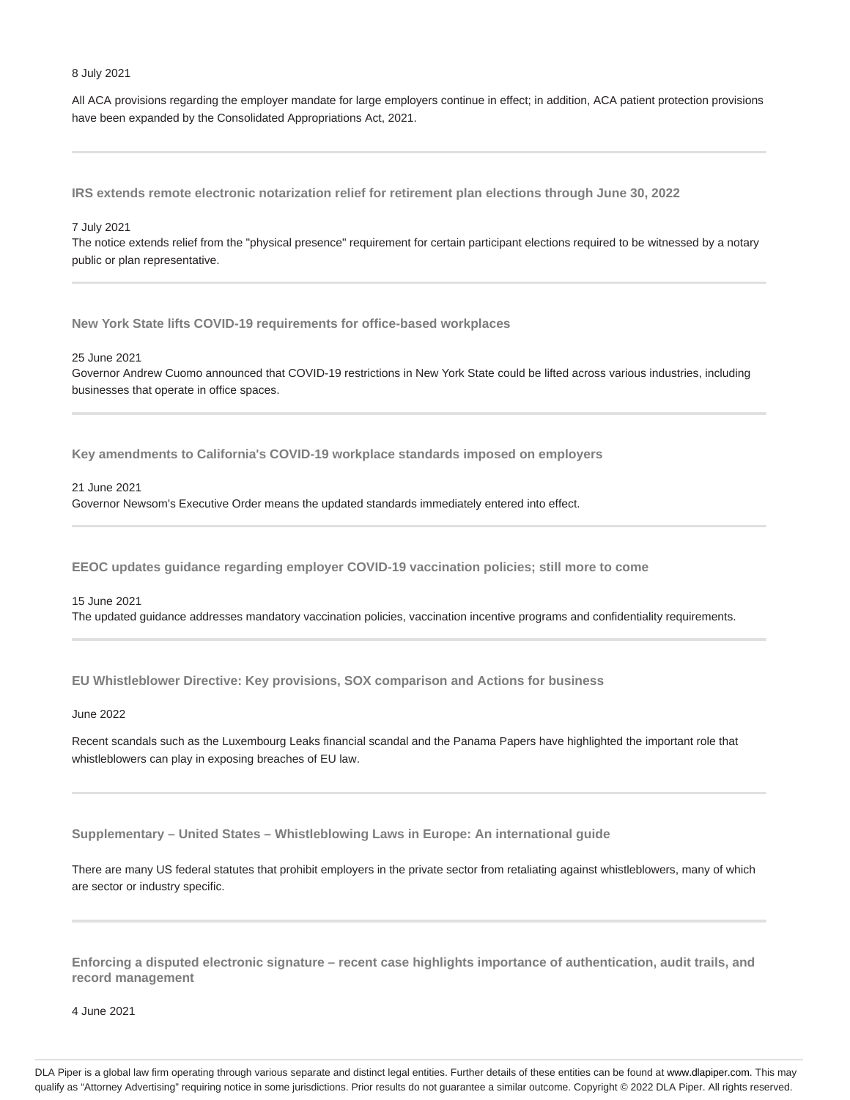#### 8 July 2021

All ACA provisions regarding the employer mandate for large employers continue in effect; in addition, ACA patient protection provisions have been expanded by the Consolidated Appropriations Act, 2021.

**IRS extends remote electronic notarization relief for retirement plan elections through June 30, 2022**

### 7 July 2021

The notice extends relief from the "physical presence" requirement for certain participant elections required to be witnessed by a notary public or plan representative.

**New York State lifts COVID-19 requirements for office-based workplaces**

#### 25 June 2021

Governor Andrew Cuomo announced that COVID-19 restrictions in New York State could be lifted across various industries, including businesses that operate in office spaces.

**Key amendments to California's COVID-19 workplace standards imposed on employers**

# 21 June 2021

Governor Newsom's Executive Order means the updated standards immediately entered into effect.

**EEOC updates guidance regarding employer COVID-19 vaccination policies; still more to come**

#### 15 June 2021

The updated guidance addresses mandatory vaccination policies, vaccination incentive programs and confidentiality requirements.

**EU Whistleblower Directive: Key provisions, SOX comparison and Actions for business**

#### June 2022

Recent scandals such as the Luxembourg Leaks financial scandal and the Panama Papers have highlighted the important role that whistleblowers can play in exposing breaches of EU law.

**Supplementary – United States – Whistleblowing Laws in Europe: An international guide**

There are many US federal statutes that prohibit employers in the private sector from retaliating against whistleblowers, many of which are sector or industry specific.

**Enforcing a disputed electronic signature – recent case highlights importance of authentication, audit trails, and record management**

4 June 2021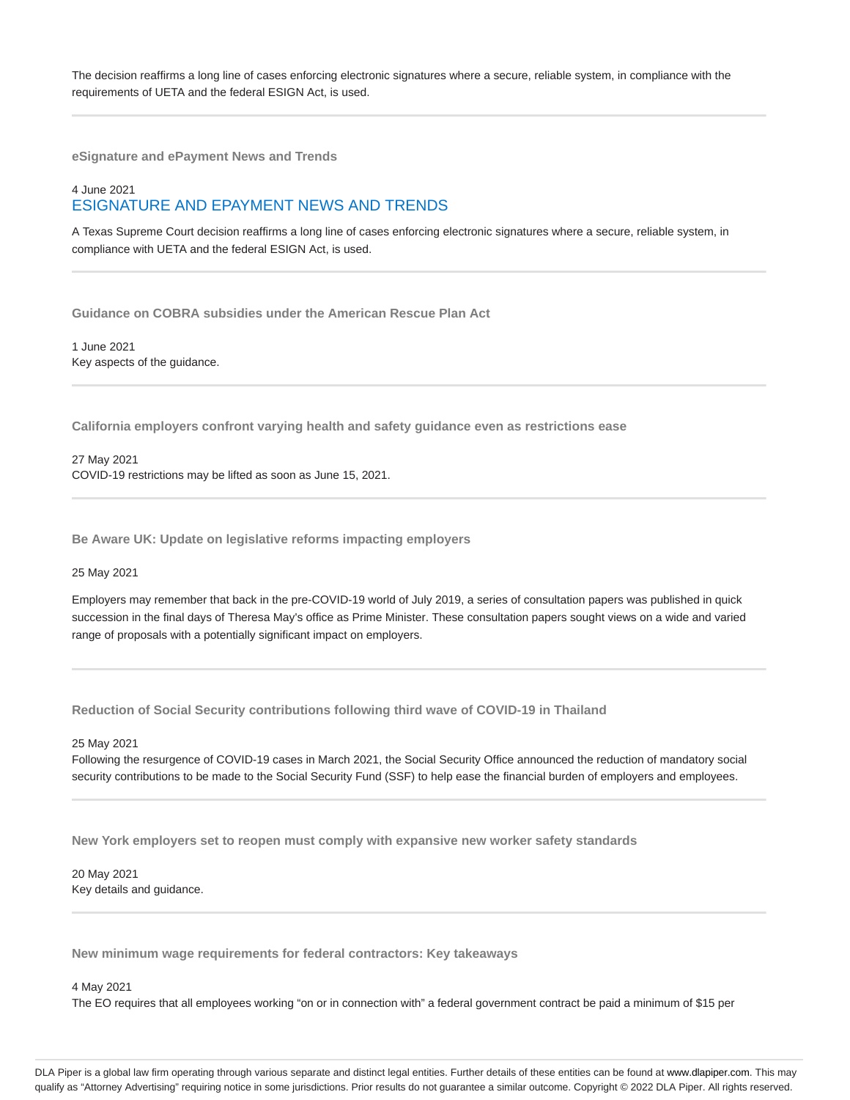The decision reaffirms a long line of cases enforcing electronic signatures where a secure, reliable system, in compliance with the requirements of UETA and the federal ESIGN Act, is used.

**eSignature and ePayment News and Trends**

# 4 June 2021 ESIGNATURE AND EPAYMENT NEWS AND TRENDS

A Texas Supreme Court decision reaffirms a long line of cases enforcing electronic signatures where a secure, reliable system, in compliance with UETA and the federal ESIGN Act, is used.

**Guidance on COBRA subsidies under the American Rescue Plan Act**

1 June 2021 Key aspects of the guidance.

**California employers confront varying health and safety guidance even as restrictions ease**

27 May 2021 COVID-19 restrictions may be lifted as soon as June 15, 2021.

**Be Aware UK: Update on legislative reforms impacting employers**

25 May 2021

Employers may remember that back in the pre-COVID-19 world of July 2019, a series of consultation papers was published in quick succession in the final days of Theresa May's office as Prime Minister. These consultation papers sought views on a wide and varied range of proposals with a potentially significant impact on employers.

**Reduction of Social Security contributions following third wave of COVID-19 in Thailand**

25 May 2021

Following the resurgence of COVID-19 cases in March 2021, the Social Security Office announced the reduction of mandatory social security contributions to be made to the Social Security Fund (SSF) to help ease the financial burden of employers and employees.

**New York employers set to reopen must comply with expansive new worker safety standards**

20 May 2021 Key details and guidance.

**New minimum wage requirements for federal contractors: Key takeaways**

4 May 2021

The EO requires that all employees working "on or in connection with" a federal government contract be paid a minimum of \$15 per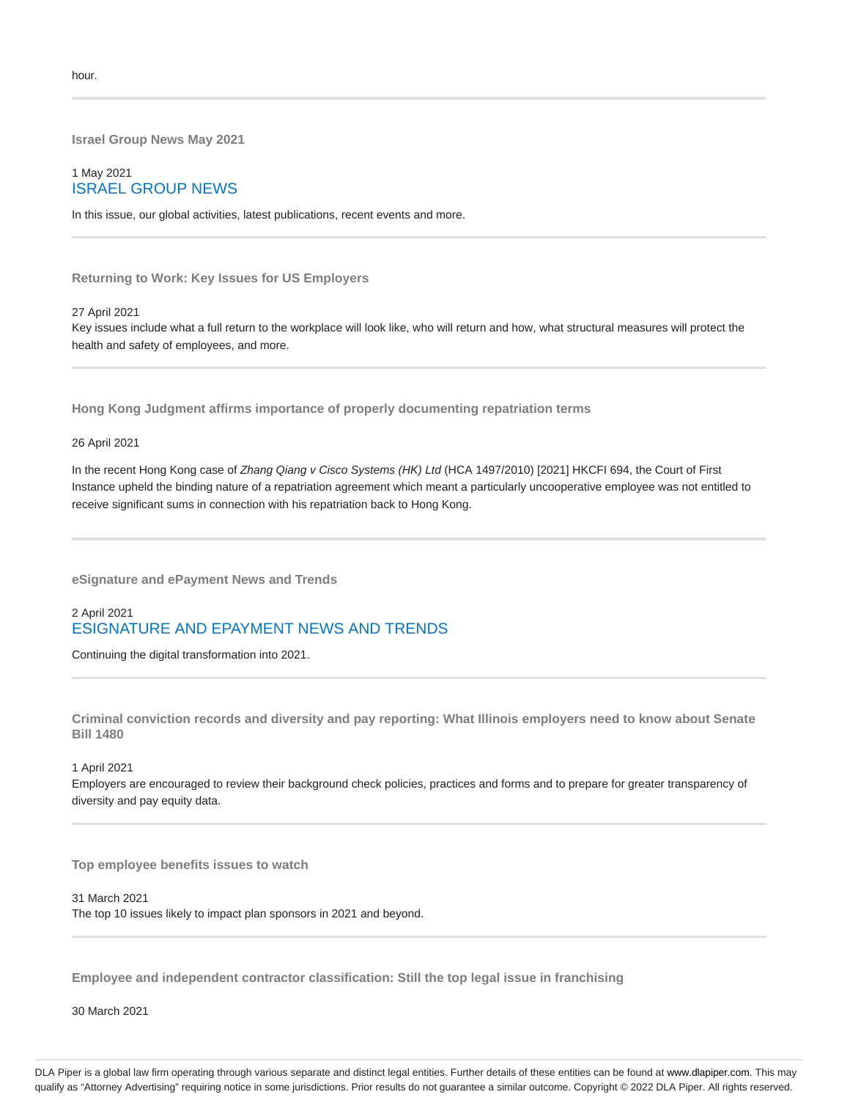**Israel Group News May 2021**

# 1 May 2021 ISRAEL GROUP NEWS

In this issue, our global activities, latest publications, recent events and more.

**Returning to Work: Key Issues for US Employers**

# 27 April 2021

Key issues include what a full return to the workplace will look like, who will return and how, what structural measures will protect the health and safety of employees, and more.

**Hong Kong Judgment affirms importance of properly documenting repatriation terms**

26 April 2021

In the recent Hong Kong case of Zhang Qiang v Cisco Systems (HK) Ltd (HCA 1497/2010) [2021] HKCFI 694, the Court of First Instance upheld the binding nature of a repatriation agreement which meant a particularly uncooperative employee was not entitled to receive significant sums in connection with his repatriation back to Hong Kong.

**eSignature and ePayment News and Trends**

# 2 April 2021 ESIGNATURE AND EPAYMENT NEWS AND TRENDS

Continuing the digital transformation into 2021.

**Criminal conviction records and diversity and pay reporting: What Illinois employers need to know about Senate Bill 1480**

#### 1 April 2021

Employers are encouraged to review their background check policies, practices and forms and to prepare for greater transparency of diversity and pay equity data.

**Top employee benefits issues to watch**

31 March 2021 The top 10 issues likely to impact plan sponsors in 2021 and beyond.

**Employee and independent contractor classification: Still the top legal issue in franchising**

30 March 2021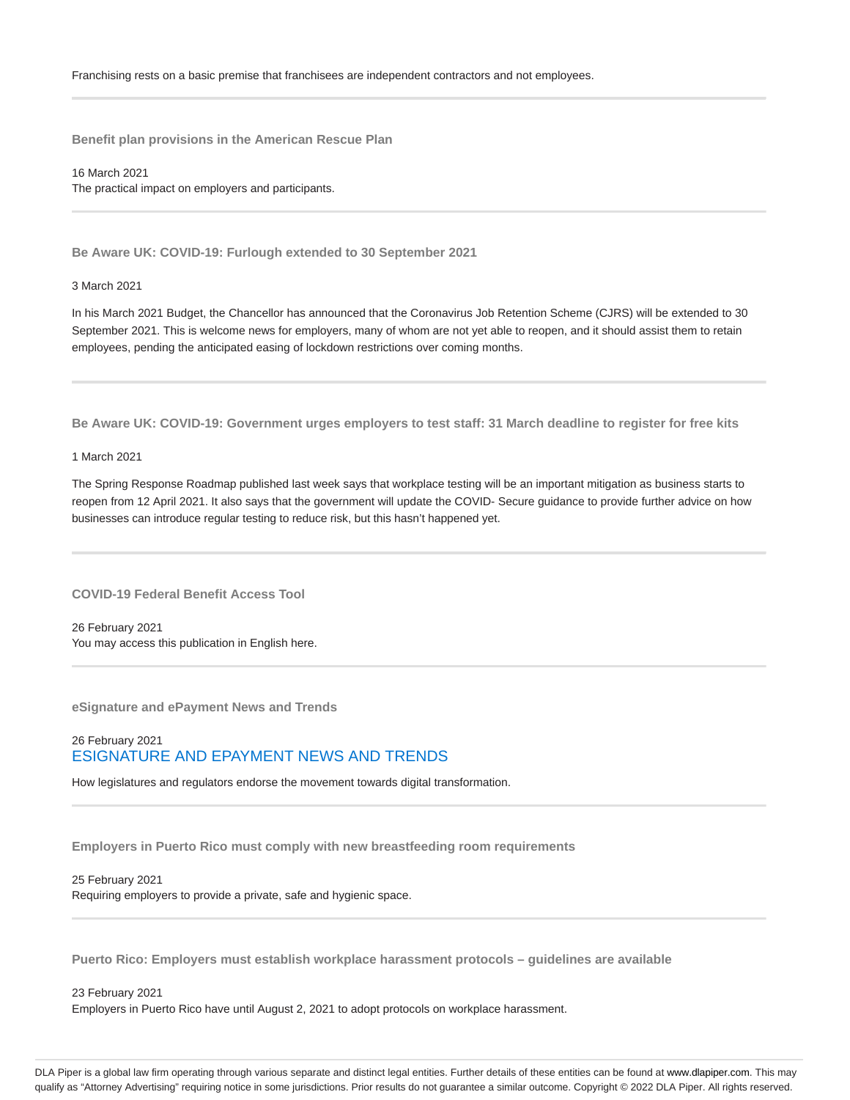**Benefit plan provisions in the American Rescue Plan**

16 March 2021 The practical impact on employers and participants.

**Be Aware UK: COVID-19: Furlough extended to 30 September 2021**

3 March 2021

In his March 2021 Budget, the Chancellor has announced that the Coronavirus Job Retention Scheme (CJRS) will be extended to 30 September 2021. This is welcome news for employers, many of whom are not yet able to reopen, and it should assist them to retain employees, pending the anticipated easing of lockdown restrictions over coming months.

**Be Aware UK: COVID-19: Government urges employers to test staff: 31 March deadline to register for free kits**

### 1 March 2021

The Spring Response Roadmap published last week says that workplace testing will be an important mitigation as business starts to reopen from 12 April 2021. It also says that the government will update the COVID- Secure guidance to provide further advice on how businesses can introduce regular testing to reduce risk, but this hasn't happened yet.

**COVID-19 Federal Benefit Access Tool**

26 February 2021 You may access this publication in English here.

**eSignature and ePayment News and Trends**

# 26 February 2021 ESIGNATURE AND EPAYMENT NEWS AND TRENDS

How legislatures and regulators endorse the movement towards digital transformation.

**Employers in Puerto Rico must comply with new breastfeeding room requirements**

# 25 February 2021

Requiring employers to provide a private, safe and hygienic space.

**Puerto Rico: Employers must establish workplace harassment protocols – guidelines are available**

# 23 February 2021 Employers in Puerto Rico have until August 2, 2021 to adopt protocols on workplace harassment.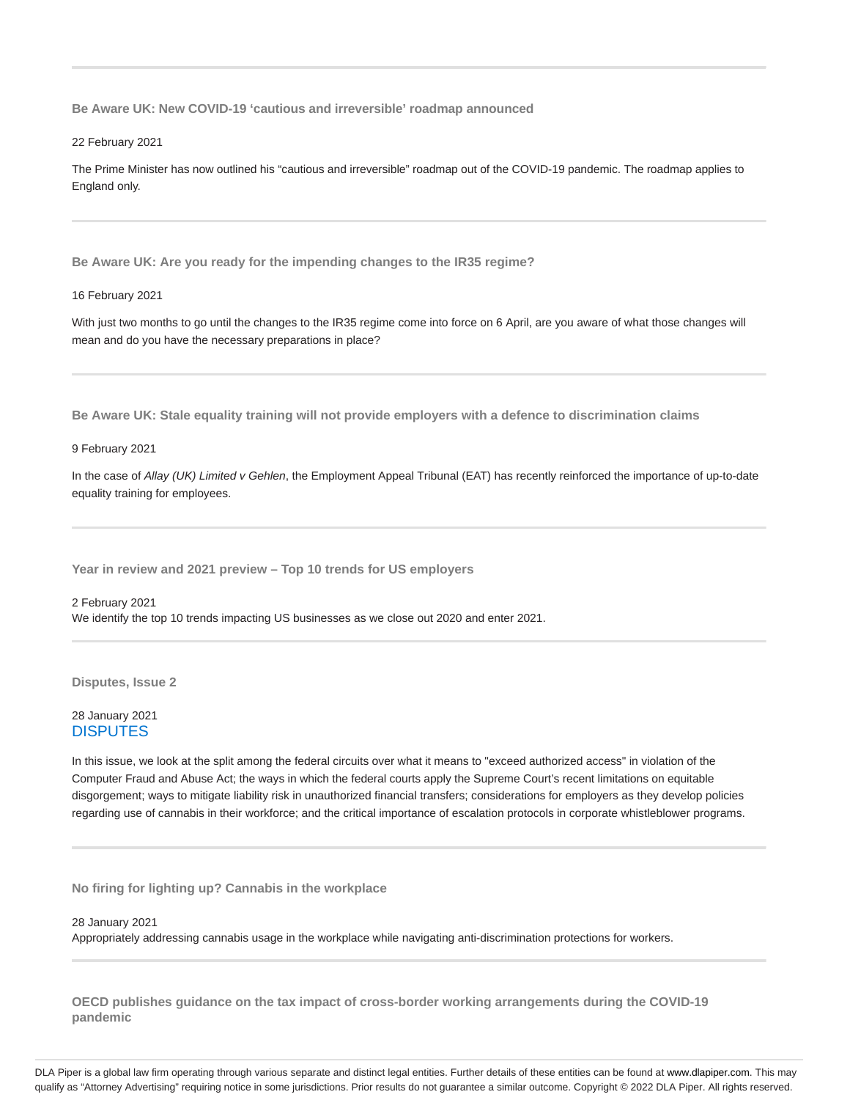**Be Aware UK: New COVID-19 'cautious and irreversible' roadmap announced**

22 February 2021

The Prime Minister has now outlined his "cautious and irreversible" roadmap out of the COVID-19 pandemic. The roadmap applies to England only.

**Be Aware UK: Are you ready for the impending changes to the IR35 regime?**

16 February 2021

With just two months to go until the changes to the IR35 regime come into force on 6 April, are you aware of what those changes will mean and do you have the necessary preparations in place?

**Be Aware UK: Stale equality training will not provide employers with a defence to discrimination claims**

9 February 2021

In the case of Allay (UK) Limited v Gehlen, the Employment Appeal Tribunal (EAT) has recently reinforced the importance of up-to-date equality training for employees.

**Year in review and 2021 preview – Top 10 trends for US employers**

2 February 2021 We identify the top 10 trends impacting US businesses as we close out 2020 and enter 2021.

**Disputes, Issue 2**

# 28 January 2021 **DISPUTES**

In this issue, we look at the split among the federal circuits over what it means to "exceed authorized access" in violation of the Computer Fraud and Abuse Act; the ways in which the federal courts apply the Supreme Court's recent limitations on equitable disgorgement; ways to mitigate liability risk in unauthorized financial transfers; considerations for employers as they develop policies regarding use of cannabis in their workforce; and the critical importance of escalation protocols in corporate whistleblower programs.

**No firing for lighting up? Cannabis in the workplace**

28 January 2021

Appropriately addressing cannabis usage in the workplace while navigating anti-discrimination protections for workers.

**OECD publishes guidance on the tax impact of cross-border working arrangements during the COVID-19 pandemic**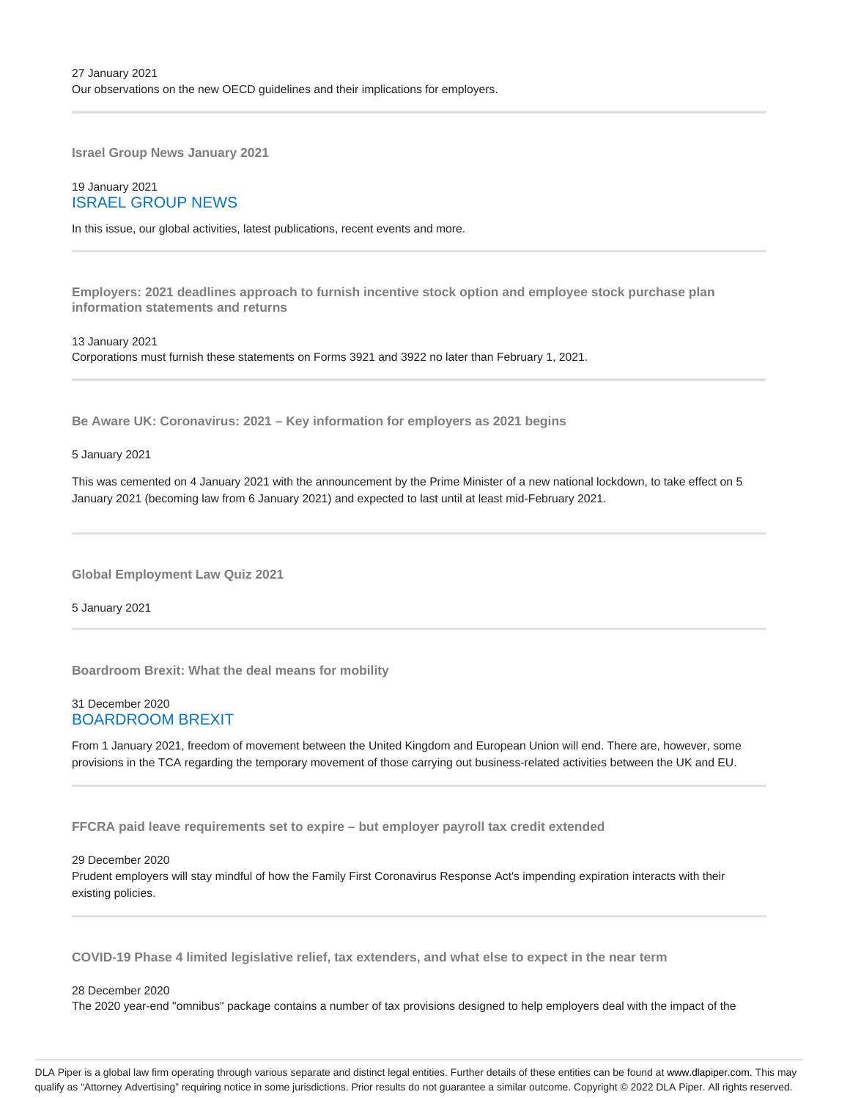**Israel Group News January 2021**

# 19 January 2021 ISRAEL GROUP NEWS

In this issue, our global activities, latest publications, recent events and more.

**Employers: 2021 deadlines approach to furnish incentive stock option and employee stock purchase plan information statements and returns**

13 January 2021 Corporations must furnish these statements on Forms 3921 and 3922 no later than February 1, 2021.

**Be Aware UK: Coronavirus: 2021 – Key information for employers as 2021 begins**

5 January 2021

This was cemented on 4 January 2021 with the announcement by the Prime Minister of a new national lockdown, to take effect on 5 January 2021 (becoming law from 6 January 2021) and expected to last until at least mid-February 2021.

**Global Employment Law Quiz 2021**

5 January 2021

**Boardroom Brexit: What the deal means for mobility**

# 31 December 2020 BOARDROOM BREXIT

From 1 January 2021, freedom of movement between the United Kingdom and European Union will end. There are, however, some provisions in the TCA regarding the temporary movement of those carrying out business-related activities between the UK and EU.

**FFCRA paid leave requirements set to expire – but employer payroll tax credit extended**

29 December 2020

Prudent employers will stay mindful of how the Family First Coronavirus Response Act's impending expiration interacts with their existing policies.

**COVID-19 Phase 4 limited legislative relief, tax extenders, and what else to expect in the near term**

### 28 December 2020

The 2020 year-end "omnibus" package contains a number of tax provisions designed to help employers deal with the impact of the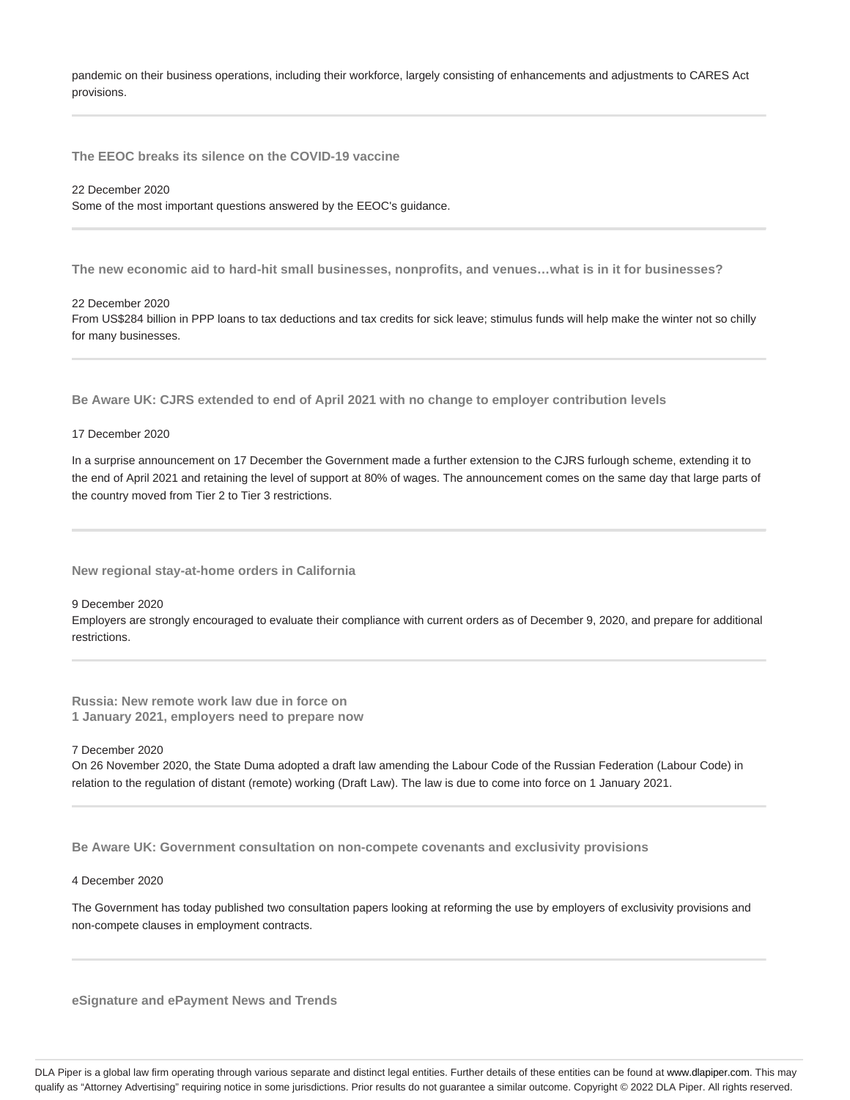pandemic on their business operations, including their workforce, largely consisting of enhancements and adjustments to CARES Act provisions.

**The EEOC breaks its silence on the COVID-19 vaccine**

#### 22 December 2020

Some of the most important questions answered by the EEOC's guidance.

**The new economic aid to hard-hit small businesses, nonprofits, and venues…what is in it for businesses?**

22 December 2020

From US\$284 billion in PPP loans to tax deductions and tax credits for sick leave; stimulus funds will help make the winter not so chilly for many businesses.

**Be Aware UK: CJRS extended to end of April 2021 with no change to employer contribution levels**

# 17 December 2020

In a surprise announcement on 17 December the Government made a further extension to the CJRS furlough scheme, extending it to the end of April 2021 and retaining the level of support at 80% of wages. The announcement comes on the same day that large parts of the country moved from Tier 2 to Tier 3 restrictions.

**New regional stay-at-home orders in California**

# 9 December 2020

Employers are strongly encouraged to evaluate their compliance with current orders as of December 9, 2020, and prepare for additional restrictions.

**Russia: New remote work law due in force on 1 January 2021, employers need to prepare now**

#### 7 December 2020

On 26 November 2020, the State Duma adopted a draft law amending the Labour Code of the Russian Federation (Labour Code) in relation to the regulation of distant (remote) working (Draft Law). The law is due to come into force on 1 January 2021.

**Be Aware UK: Government consultation on non-compete covenants and exclusivity provisions**

### 4 December 2020

The Government has today published two consultation papers looking at reforming the use by employers of exclusivity provisions and non-compete clauses in employment contracts.

**eSignature and ePayment News and Trends**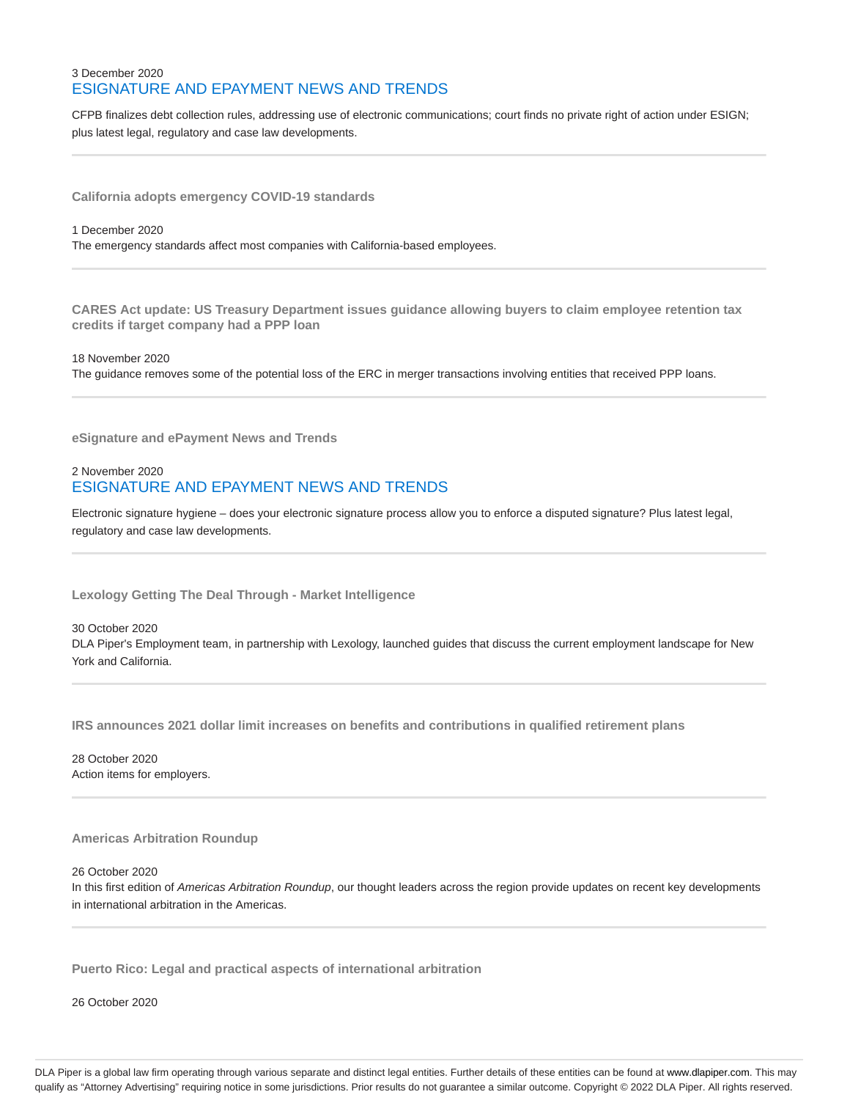# 3 December 2020 ESIGNATURE AND EPAYMENT NEWS AND TRENDS

CFPB finalizes debt collection rules, addressing use of electronic communications; court finds no private right of action under ESIGN; plus latest legal, regulatory and case law developments.

**California adopts emergency COVID-19 standards**

#### 1 December 2020

The emergency standards affect most companies with California-based employees.

**CARES Act update: US Treasury Department issues guidance allowing buyers to claim employee retention tax credits if target company had a PPP loan**

18 November 2020 The guidance removes some of the potential loss of the ERC in merger transactions involving entities that received PPP loans.

**eSignature and ePayment News and Trends**

# 2 November 2020 ESIGNATURE AND EPAYMENT NEWS AND TRENDS

Electronic signature hygiene – does your electronic signature process allow you to enforce a disputed signature? Plus latest legal, regulatory and case law developments.

**Lexology Getting The Deal Through - Market Intelligence**

30 October 2020 DLA Piper's Employment team, in partnership with Lexology, launched guides that discuss the current employment landscape for New York and California.

**IRS announces 2021 dollar limit increases on benefits and contributions in qualified retirement plans**

28 October 2020 Action items for employers.

# **Americas Arbitration Roundup**

26 October 2020

In this first edition of Americas Arbitration Roundup, our thought leaders across the region provide updates on recent key developments in international arbitration in the Americas.

**Puerto Rico: Legal and practical aspects of international arbitration**

26 October 2020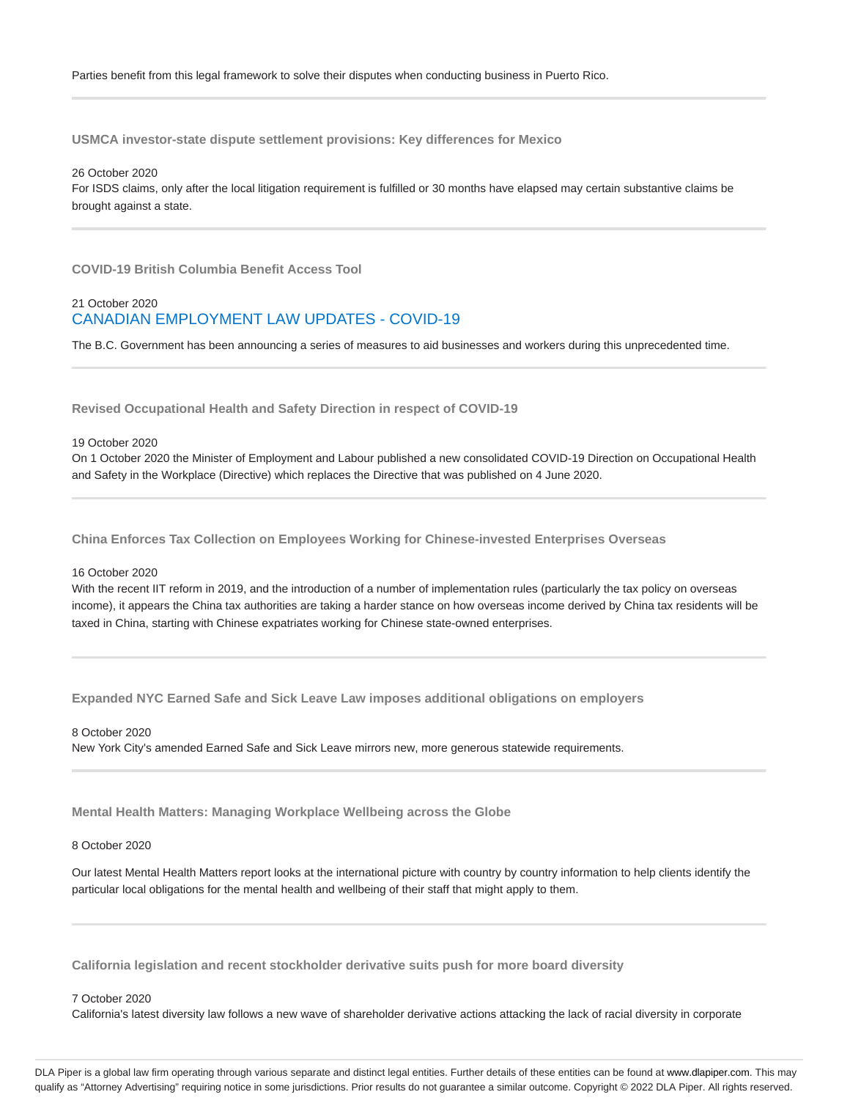**USMCA investor-state dispute settlement provisions: Key differences for Mexico**

26 October 2020 For ISDS claims, only after the local litigation requirement is fulfilled or 30 months have elapsed may certain substantive claims be brought against a state.

**COVID-19 British Columbia Benefit Access Tool**

# 21 October 2020 CANADIAN EMPLOYMENT LAW UPDATES - COVID-19

The B.C. Government has been announcing a series of measures to aid businesses and workers during this unprecedented time.

**Revised Occupational Health and Safety Direction in respect of COVID-19**

#### 19 October 2020

On 1 October 2020 the Minister of Employment and Labour published a new consolidated COVID-19 Direction on Occupational Health and Safety in the Workplace (Directive) which replaces the Directive that was published on 4 June 2020.

**China Enforces Tax Collection on Employees Working for Chinese-invested Enterprises Overseas**

### 16 October 2020

With the recent IIT reform in 2019, and the introduction of a number of implementation rules (particularly the tax policy on overseas income), it appears the China tax authorities are taking a harder stance on how overseas income derived by China tax residents will be taxed in China, starting with Chinese expatriates working for Chinese state-owned enterprises.

**Expanded NYC Earned Safe and Sick Leave Law imposes additional obligations on employers**

### 8 October 2020

New York City's amended Earned Safe and Sick Leave mirrors new, more generous statewide requirements.

**Mental Health Matters: Managing Workplace Wellbeing across the Globe**

# 8 October 2020

Our latest Mental Health Matters report looks at the international picture with country by country information to help clients identify the particular local obligations for the mental health and wellbeing of their staff that might apply to them.

**California legislation and recent stockholder derivative suits push for more board diversity**

### 7 October 2020

California's latest diversity law follows a new wave of shareholder derivative actions attacking the lack of racial diversity in corporate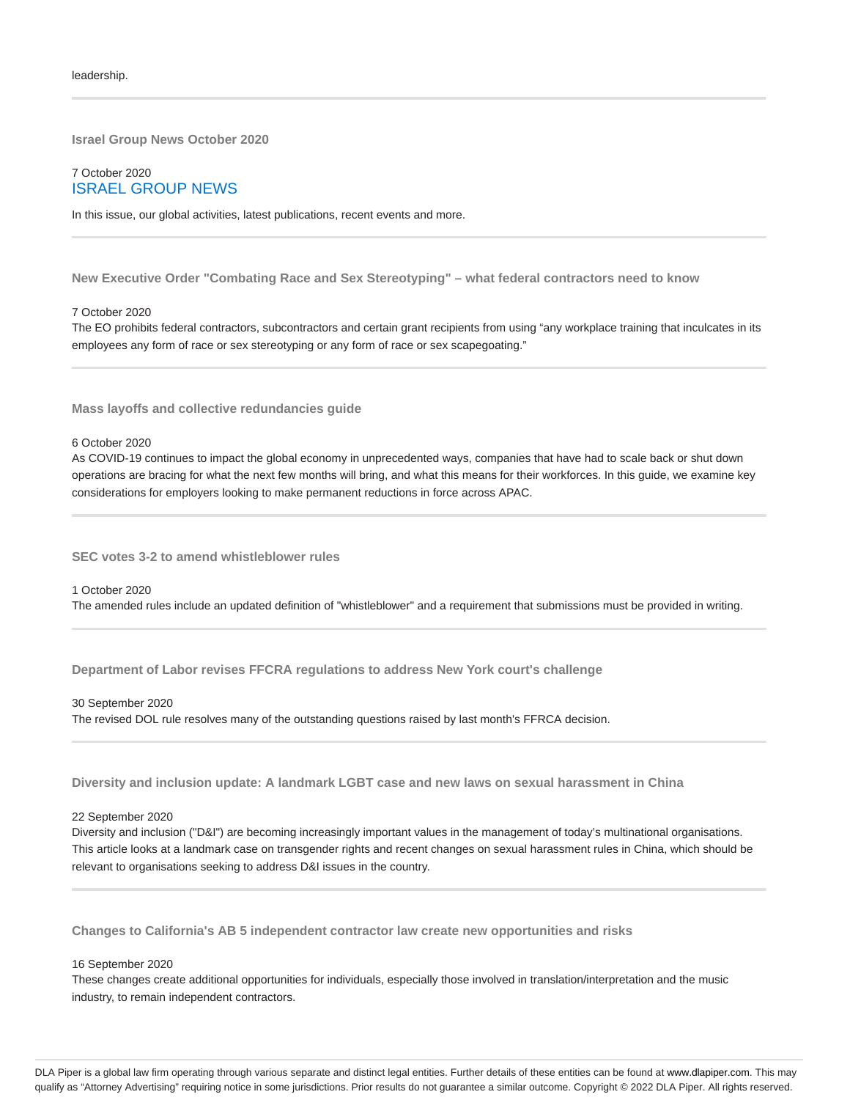**Israel Group News October 2020**

7 October 2020 ISRAEL GROUP NEWS

In this issue, our global activities, latest publications, recent events and more.

**New Executive Order "Combating Race and Sex Stereotyping" – what federal contractors need to know**

#### 7 October 2020

The EO prohibits federal contractors, subcontractors and certain grant recipients from using "any workplace training that inculcates in its employees any form of race or sex stereotyping or any form of race or sex scapegoating."

**Mass layoffs and collective redundancies guide**

#### 6 October 2020

As COVID-19 continues to impact the global economy in unprecedented ways, companies that have had to scale back or shut down operations are bracing for what the next few months will bring, and what this means for their workforces. In this guide, we examine key considerations for employers looking to make permanent reductions in force across APAC.

**SEC votes 3-2 to amend whistleblower rules**

#### 1 October 2020

The amended rules include an updated definition of "whistleblower" and a requirement that submissions must be provided in writing.

**Department of Labor revises FFCRA regulations to address New York court's challenge**

#### 30 September 2020

The revised DOL rule resolves many of the outstanding questions raised by last month's FFRCA decision.

**Diversity and inclusion update: A landmark LGBT case and new laws on sexual harassment in China**

#### 22 September 2020

Diversity and inclusion ("D&I") are becoming increasingly important values in the management of today's multinational organisations. This article looks at a landmark case on transgender rights and recent changes on sexual harassment rules in China, which should be relevant to organisations seeking to address D&I issues in the country.

**Changes to California's AB 5 independent contractor law create new opportunities and risks**

#### 16 September 2020

These changes create additional opportunities for individuals, especially those involved in translation/interpretation and the music industry, to remain independent contractors.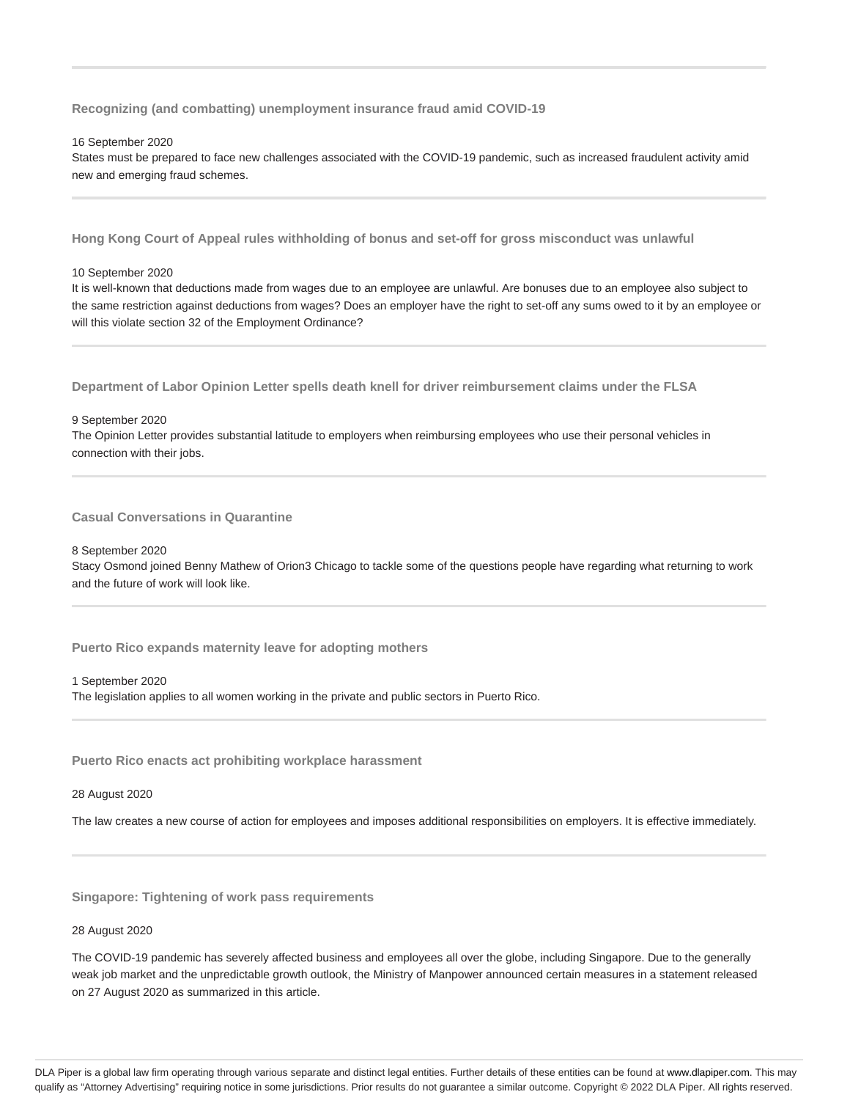**Recognizing (and combatting) unemployment insurance fraud amid COVID-19**

16 September 2020

States must be prepared to face new challenges associated with the COVID-19 pandemic, such as increased fraudulent activity amid new and emerging fraud schemes.

**Hong Kong Court of Appeal rules withholding of bonus and set-off for gross misconduct was unlawful**

10 September 2020

It is well-known that deductions made from wages due to an employee are unlawful. Are bonuses due to an employee also subject to the same restriction against deductions from wages? Does an employer have the right to set-off any sums owed to it by an employee or will this violate section 32 of the Employment Ordinance?

**Department of Labor Opinion Letter spells death knell for driver reimbursement claims under the FLSA**

9 September 2020

The Opinion Letter provides substantial latitude to employers when reimbursing employees who use their personal vehicles in connection with their jobs.

**Casual Conversations in Quarantine**

8 September 2020

Stacy Osmond joined Benny Mathew of Orion3 Chicago to tackle some of the questions people have regarding what returning to work and the future of work will look like.

**Puerto Rico expands maternity leave for adopting mothers**

1 September 2020

The legislation applies to all women working in the private and public sectors in Puerto Rico.

**Puerto Rico enacts act prohibiting workplace harassment**

28 August 2020

The law creates a new course of action for employees and imposes additional responsibilities on employers. It is effective immediately.

**Singapore: Tightening of work pass requirements**

# 28 August 2020

The COVID-19 pandemic has severely affected business and employees all over the globe, including Singapore. Due to the generally weak job market and the unpredictable growth outlook, the Ministry of Manpower announced certain measures in a statement released on 27 August 2020 as summarized in this article.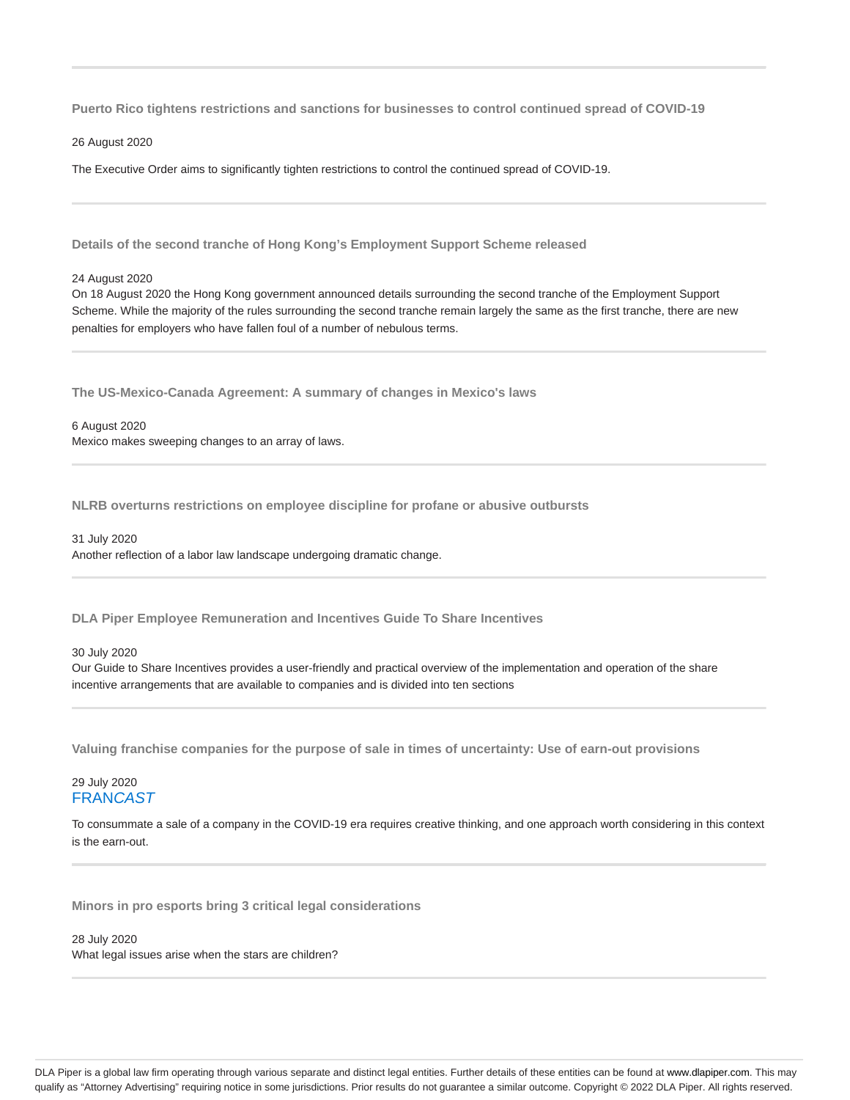**Puerto Rico tightens restrictions and sanctions for businesses to control continued spread of COVID-19**

26 August 2020

The Executive Order aims to significantly tighten restrictions to control the continued spread of COVID-19.

**Details of the second tranche of Hong Kong's Employment Support Scheme released**

24 August 2020

On 18 August 2020 the Hong Kong government announced details surrounding the second tranche of the Employment Support Scheme. While the majority of the rules surrounding the second tranche remain largely the same as the first tranche, there are new penalties for employers who have fallen foul of a number of nebulous terms.

**The US-Mexico-Canada Agreement: A summary of changes in Mexico's laws**

6 August 2020 Mexico makes sweeping changes to an array of laws.

**NLRB overturns restrictions on employee discipline for profane or abusive outbursts**

31 July 2020 Another reflection of a labor law landscape undergoing dramatic change.

**DLA Piper Employee Remuneration and Incentives Guide To Share Incentives**

### 30 July 2020

Our Guide to Share Incentives provides a user-friendly and practical overview of the implementation and operation of the share incentive arrangements that are available to companies and is divided into ten sections

**Valuing franchise companies for the purpose of sale in times of uncertainty: Use of earn-out provisions**

# 29 July 2020 **FRANCAST**

To consummate a sale of a company in the COVID-19 era requires creative thinking, and one approach worth considering in this context is the earn-out.

**Minors in pro esports bring 3 critical legal considerations**

# 28 July 2020

What legal issues arise when the stars are children?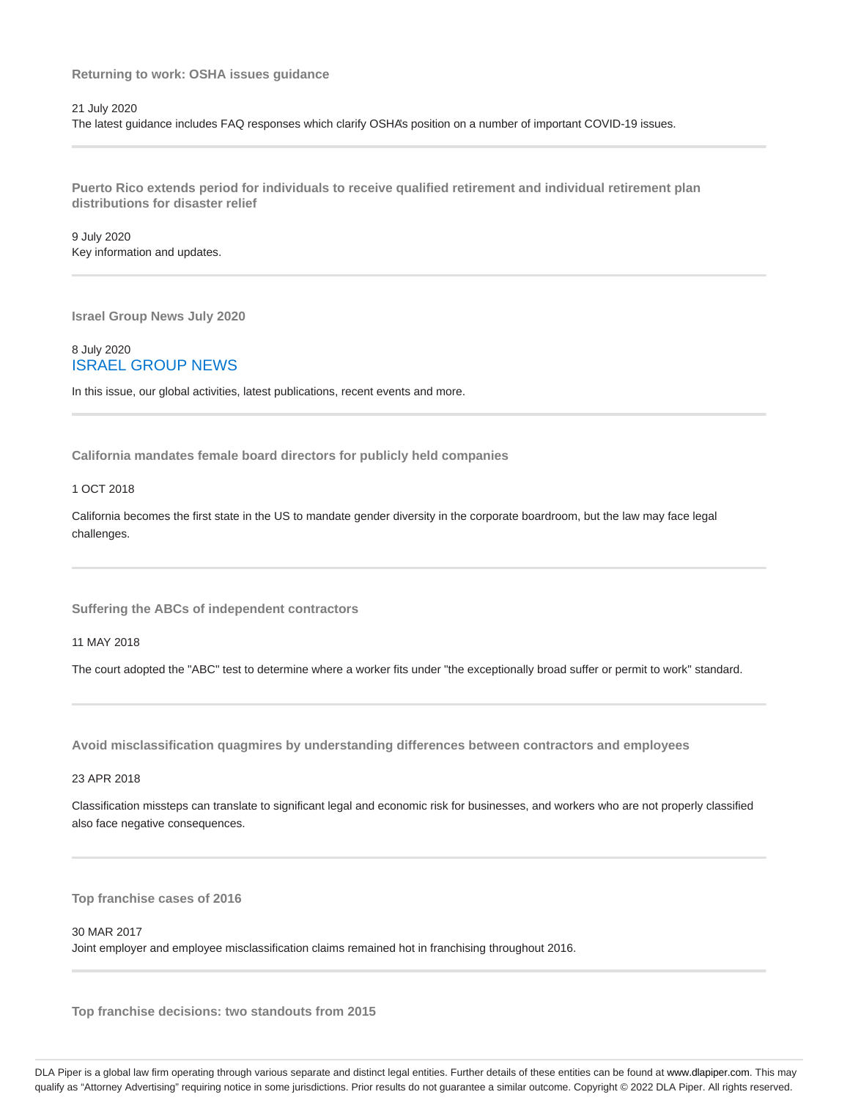# **Returning to work: OSHA issues guidance**

### 21 July 2020

The latest guidance includes FAQ responses which clarify OSHA's position on a number of important COVID-19 issues.

**Puerto Rico extends period for individuals to receive qualified retirement and individual retirement plan distributions for disaster relief**

9 July 2020 Key information and updates.

**Israel Group News July 2020**

# 8 July 2020 ISRAEL GROUP NEWS

In this issue, our global activities, latest publications, recent events and more.

**California mandates female board directors for publicly held companies**

### 1 OCT 2018

California becomes the first state in the US to mandate gender diversity in the corporate boardroom, but the law may face legal challenges.

**Suffering the ABCs of independent contractors**

11 MAY 2018

The court adopted the "ABC" test to determine where a worker fits under "the exceptionally broad suffer or permit to work" standard.

**Avoid misclassification quagmires by understanding differences between contractors and employees**

# 23 APR 2018

Classification missteps can translate to significant legal and economic risk for businesses, and workers who are not properly classified also face negative consequences.

**Top franchise cases of 2016**

### 30 MAR 2017

Joint employer and employee misclassification claims remained hot in franchising throughout 2016.

**Top franchise decisions: two standouts from 2015**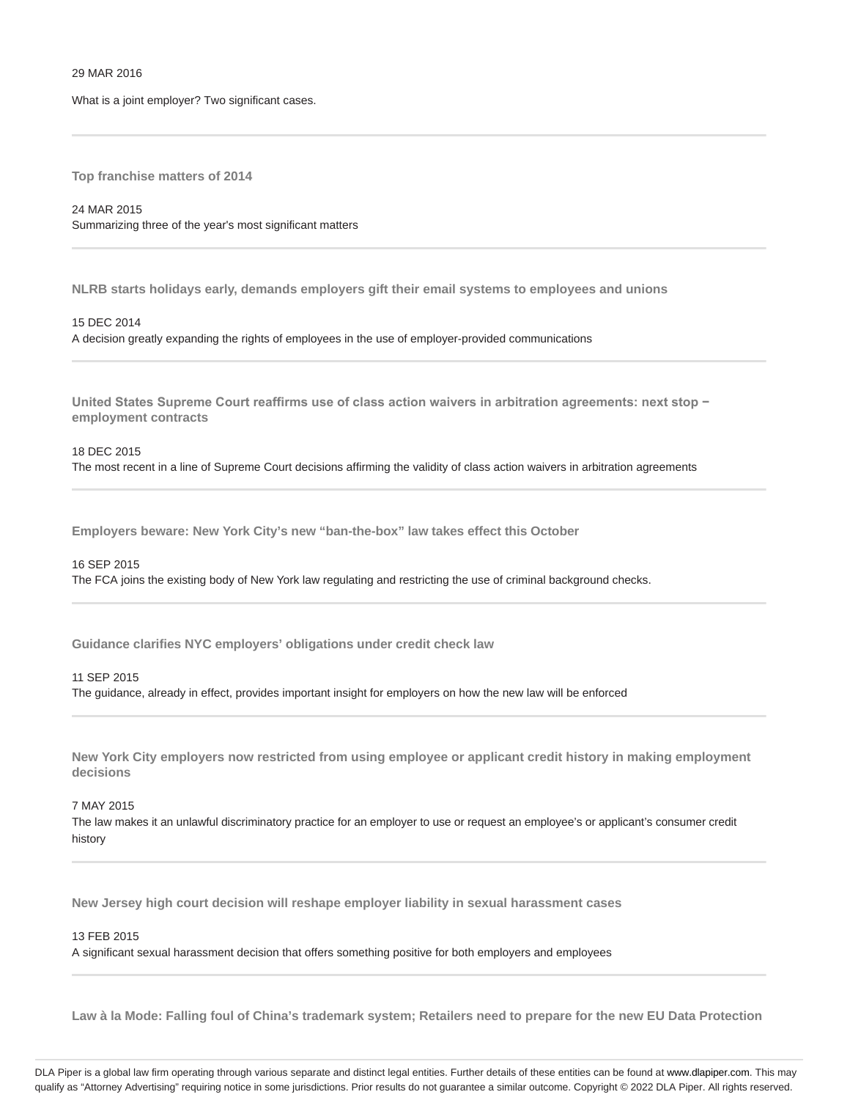## 29 MAR 2016

What is a joint employer? Two significant cases.

**Top franchise matters of 2014**

24 MAR 2015 Summarizing three of the year's most significant matters

**NLRB starts holidays early, demands employers gift their email systems to employees and unions**

15 DEC 2014 A decision greatly expanding the rights of employees in the use of employer-provided communications

**United States Supreme Court reaffirms use of class action waivers in arbitration agreements: next stop − employment contracts**

### 18 DEC 2015

The most recent in a line of Supreme Court decisions affirming the validity of class action waivers in arbitration agreements

**Employers beware: New York City's new "ban-the-box" law takes effect this October**

#### 16 SEP 2015

The FCA joins the existing body of New York law regulating and restricting the use of criminal background checks.

**Guidance clarifies NYC employers' obligations under credit check law**

#### 11 SEP 2015

The guidance, already in effect, provides important insight for employers on how the new law will be enforced

**New York City employers now restricted from using employee or applicant credit history in making employment decisions**

#### 7 MAY 2015

The law makes it an unlawful discriminatory practice for an employer to use or request an employee's or applicant's consumer credit history

**New Jersey high court decision will reshape employer liability in sexual harassment cases**

#### 13 FEB 2015

A significant sexual harassment decision that offers something positive for both employers and employees

**Law à la Mode: Falling foul of China's trademark system; Retailers need to prepare for the new EU Data Protection**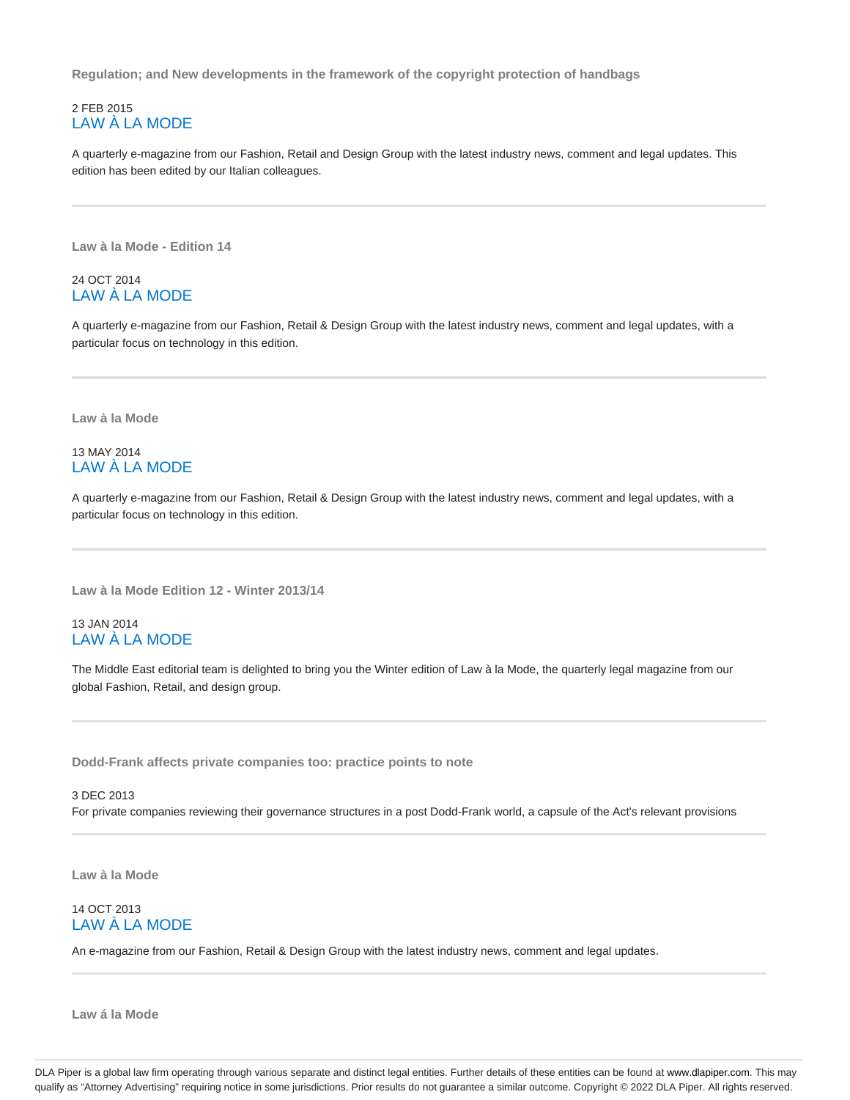**Regulation; and New developments in the framework of the copyright protection of handbags**

# 2 FEB 2015 LAW À LA MODE

A quarterly e-magazine from our Fashion, Retail and Design Group with the latest industry news, comment and legal updates. This edition has been edited by our Italian colleagues.

**Law à la Mode - Edition 14**

# 24 OCT 2014 LAW À LA MODE

A quarterly e-magazine from our Fashion, Retail & Design Group with the latest industry news, comment and legal updates, with a particular focus on technology in this edition.

**Law à la Mode**

# 13 MAY 2014 LAW À LA MODE

A quarterly e-magazine from our Fashion, Retail & Design Group with the latest industry news, comment and legal updates, with a particular focus on technology in this edition.

**Law à la Mode Edition 12 - Winter 2013/14**

# 13 JAN 2014 LAW À LA MODE

The Middle East editorial team is delighted to bring you the Winter edition of Law à la Mode, the quarterly legal magazine from our global Fashion, Retail, and design group.

**Dodd-Frank affects private companies too: practice points to note**

3 DEC 2013 For private companies reviewing their governance structures in a post Dodd-Frank world, a capsule of the Act's relevant provisions

**Law à la Mode**

# 14 OCT 2013 LAW À LA MODE

An e-magazine from our Fashion, Retail & Design Group with the latest industry news, comment and legal updates.

**Law á la Mode**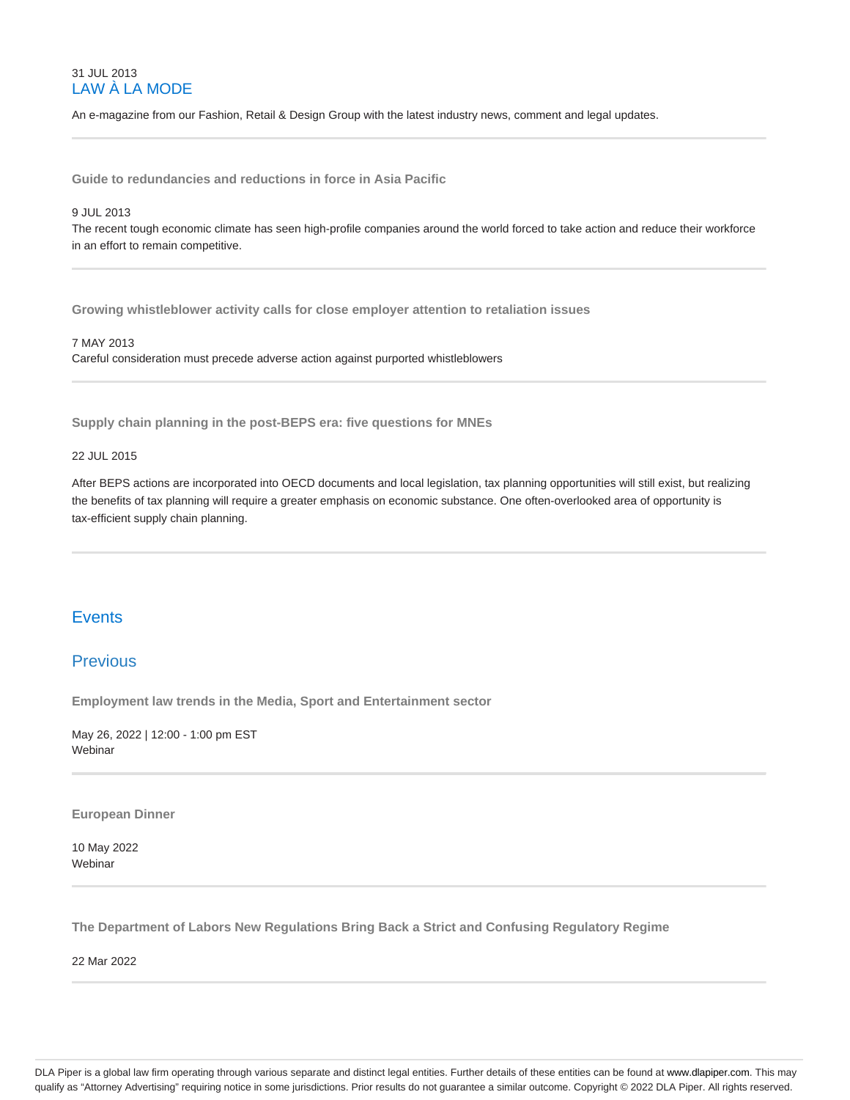# 31 JUL 2013 LAW À LA MODE

An e-magazine from our Fashion, Retail & Design Group with the latest industry news, comment and legal updates.

**Guide to redundancies and reductions in force in Asia Pacific**

### 9 JUL 2013

The recent tough economic climate has seen high-profile companies around the world forced to take action and reduce their workforce in an effort to remain competitive.

**Growing whistleblower activity calls for close employer attention to retaliation issues**

# 7 MAY 2013

Careful consideration must precede adverse action against purported whistleblowers

**Supply chain planning in the post-BEPS era: five questions for MNEs**

# 22 JUL 2015

After BEPS actions are incorporated into OECD documents and local legislation, tax planning opportunities will still exist, but realizing the benefits of tax planning will require a greater emphasis on economic substance. One often-overlooked area of opportunity is tax-efficient supply chain planning.

# **Events**

# Previous

**Employment law trends in the Media, Sport and Entertainment sector**

May 26, 2022 | 12:00 - 1:00 pm EST Webinar

**European Dinner**

10 May 2022 Webinar

**The Department of Labors New Regulations Bring Back a Strict and Confusing Regulatory Regime**

22 Mar 2022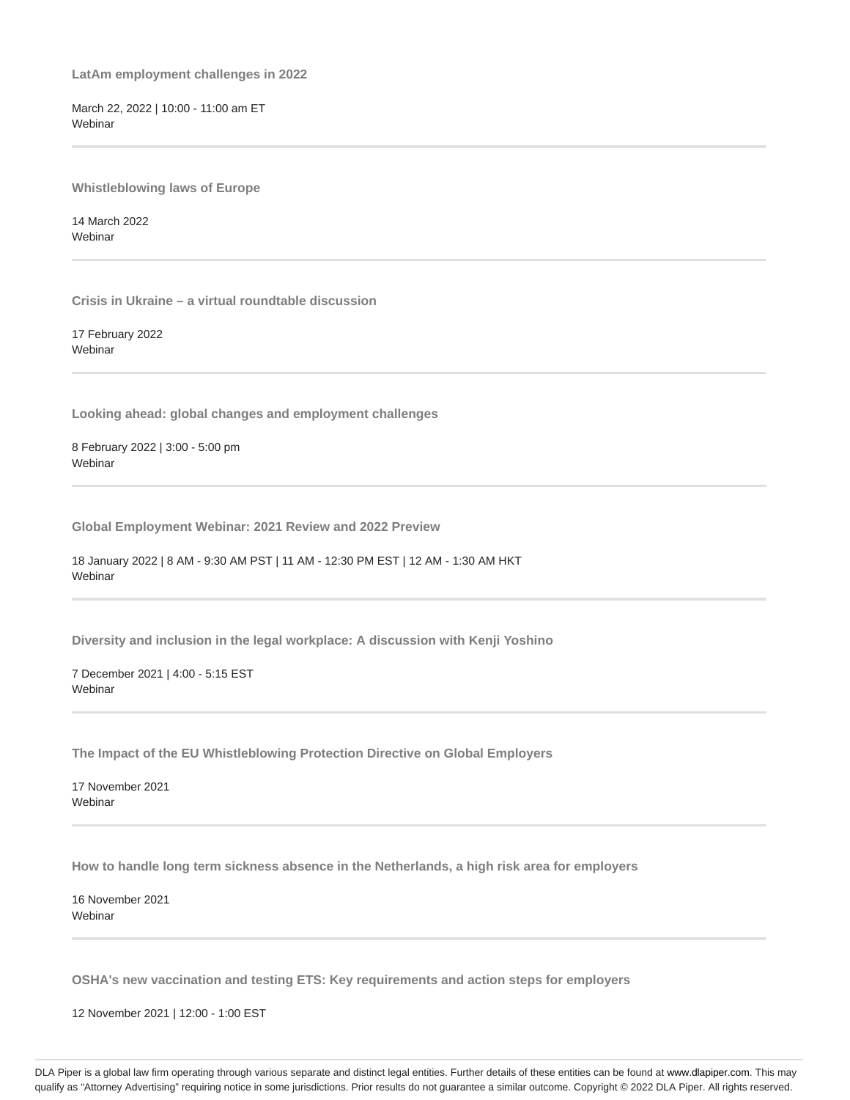**LatAm employment challenges in 2022**

March 22, 2022 | 10:00 - 11:00 am ET Webinar

**Whistleblowing laws of Europe**

14 March 2022 Webinar

**Crisis in Ukraine – a virtual roundtable discussion**

17 February 2022 **Webinar** 

**Looking ahead: global changes and employment challenges**

8 February 2022 | 3:00 - 5:00 pm **Webinar** 

**Global Employment Webinar: 2021 Review and 2022 Preview**

18 January 2022 | 8 AM - 9:30 AM PST | 11 AM - 12:30 PM EST | 12 AM - 1:30 AM HKT **Webinar** 

**Diversity and inclusion in the legal workplace: A discussion with Kenji Yoshino**

7 December 2021 | 4:00 - 5:15 EST Webinar

**The Impact of the EU Whistleblowing Protection Directive on Global Employers**

17 November 2021 Webinar

**How to handle long term sickness absence in the Netherlands, a high risk area for employers**

16 November 2021 **Webinar** 

**OSHA's new vaccination and testing ETS: Key requirements and action steps for employers**

12 November 2021 | 12:00 - 1:00 EST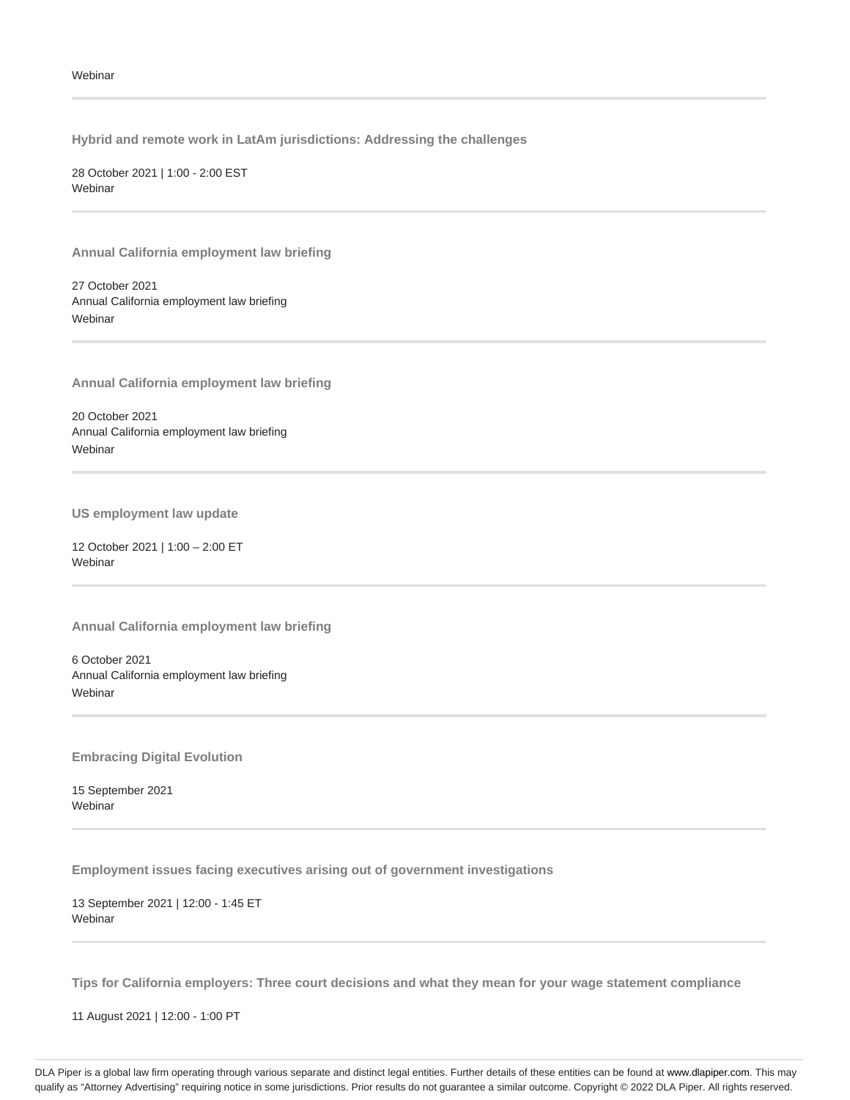**Hybrid and remote work in LatAm jurisdictions: Addressing the challenges**

28 October 2021 | 1:00 - 2:00 EST **Webinar** 

**Annual California employment law briefing**

27 October 2021 Annual California employment law briefing Webinar

**Annual California employment law briefing**

20 October 2021 Annual California employment law briefing **Webinar** 

**US employment law update**

12 October 2021 | 1:00 – 2:00 ET **Webinar** 

**Annual California employment law briefing**

6 October 2021 Annual California employment law briefing **Webinar** 

**Embracing Digital Evolution**

15 September 2021 Webinar

**Employment issues facing executives arising out of government investigations**

13 September 2021 | 12:00 - 1:45 ET Webinar

**Tips for California employers: Three court decisions and what they mean for your wage statement compliance**

11 August 2021 | 12:00 - 1:00 PT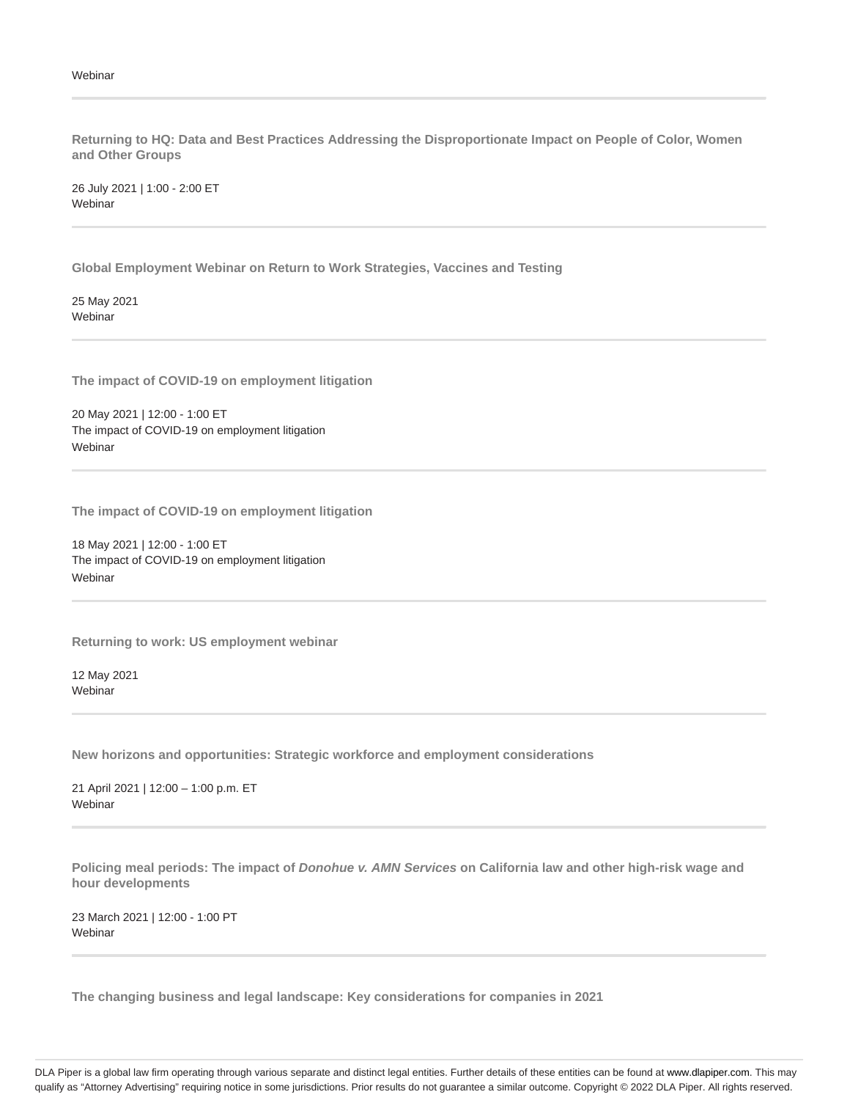### Webinar

**Returning to HQ: Data and Best Practices Addressing the Disproportionate Impact on People of Color, Women and Other Groups**

26 July 2021 | 1:00 - 2:00 ET **Webinar** 

**Global Employment Webinar on Return to Work Strategies, Vaccines and Testing**

25 May 2021 **Webinar** 

**The impact of COVID-19 on employment litigation**

20 May 2021 | 12:00 - 1:00 ET The impact of COVID-19 on employment litigation Webinar

**The impact of COVID-19 on employment litigation**

18 May 2021 | 12:00 - 1:00 ET The impact of COVID-19 on employment litigation **Webinar** 

**Returning to work: US employment webinar**

12 May 2021 **Webinar** 

**New horizons and opportunities: Strategic workforce and employment considerations**

21 April 2021 | 12:00 – 1:00 p.m. ET **Webinar** 

**Policing meal periods: The impact of Donohue v. AMN Services on California law and other high-risk wage and hour developments**

23 March 2021 | 12:00 - 1:00 PT **Webinar** 

**The changing business and legal landscape: Key considerations for companies in 2021**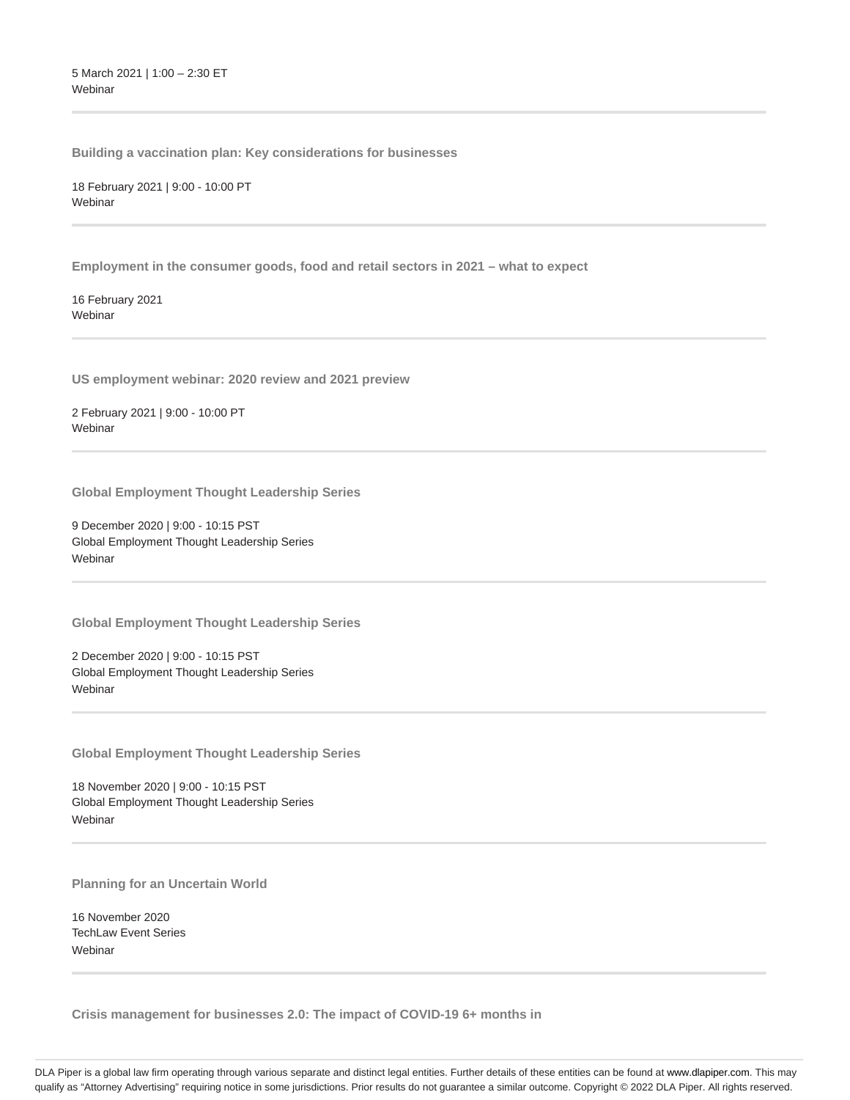5 March 2021 | 1:00 – 2:30 ET Webinar

**Building a vaccination plan: Key considerations for businesses**

18 February 2021 | 9:00 - 10:00 PT **Webinar** 

**Employment in the consumer goods, food and retail sectors in 2021 – what to expect**

16 February 2021 Webinar

**US employment webinar: 2020 review and 2021 preview**

2 February 2021 | 9:00 - 10:00 PT Webinar

**Global Employment Thought Leadership Series**

9 December 2020 | 9:00 - 10:15 PST Global Employment Thought Leadership Series **Webinar** 

**Global Employment Thought Leadership Series**

2 December 2020 | 9:00 - 10:15 PST Global Employment Thought Leadership Series Webinar

**Global Employment Thought Leadership Series**

18 November 2020 | 9:00 - 10:15 PST Global Employment Thought Leadership Series **Webinar** 

**Planning for an Uncertain World**

16 November 2020 TechLaw Event Series **Webinar** 

**Crisis management for businesses 2.0: The impact of COVID-19 6+ months in**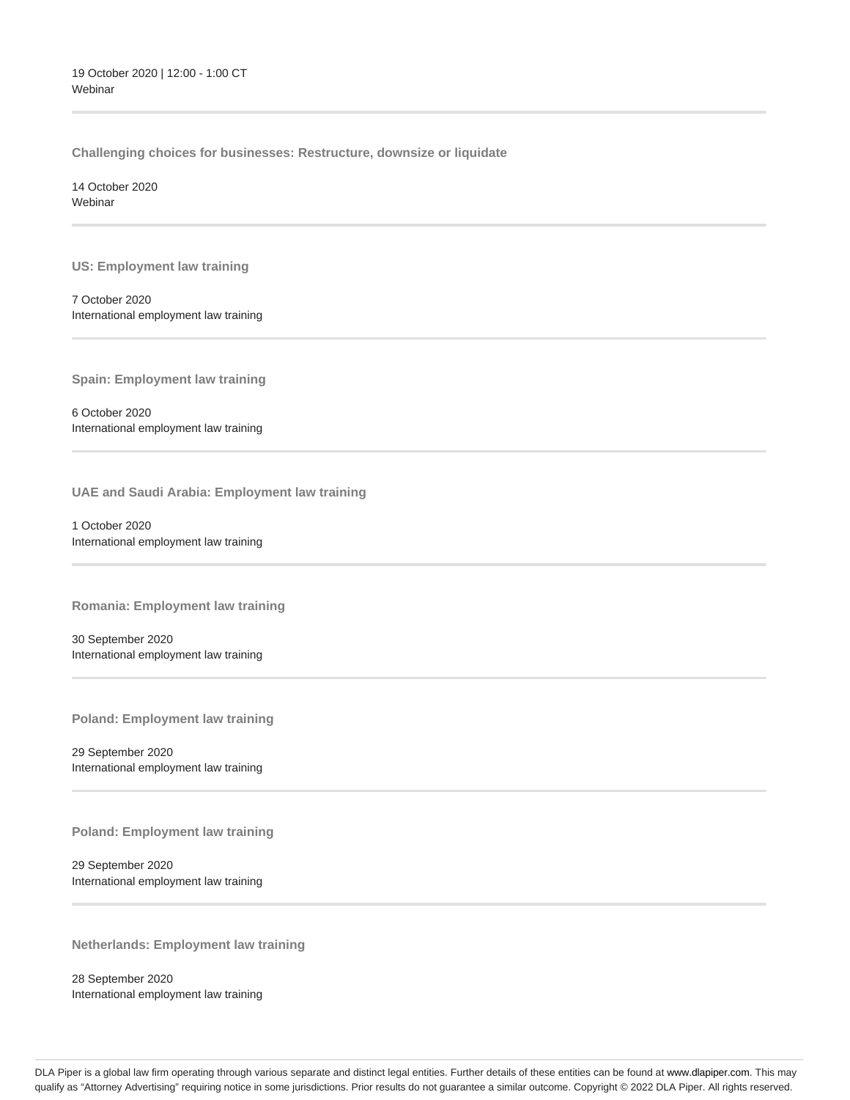**Challenging choices for businesses: Restructure, downsize or liquidate**

14 October 2020 **Webinar** 

**US: Employment law training**

7 October 2020 International employment law training

**Spain: Employment law training**

6 October 2020 International employment law training

**UAE and Saudi Arabia: Employment law training**

1 October 2020 International employment law training

**Romania: Employment law training**

30 September 2020 International employment law training

**Poland: Employment law training**

29 September 2020 International employment law training

**Poland: Employment law training**

29 September 2020 International employment law training

**Netherlands: Employment law training**

28 September 2020 International employment law training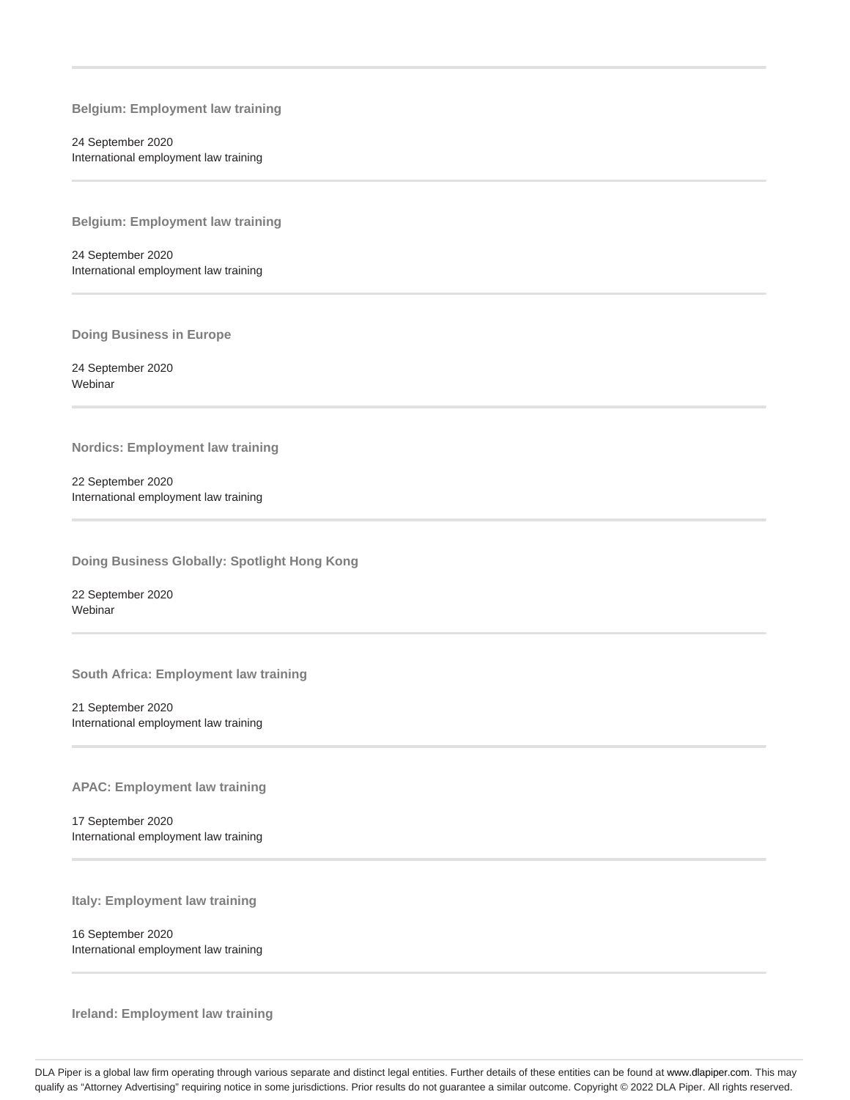**Belgium: Employment law training**

24 September 2020 International employment law training

**Belgium: Employment law training**

24 September 2020 International employment law training

**Doing Business in Europe**

24 September 2020 Webinar

**Nordics: Employment law training**

22 September 2020 International employment law training

**Doing Business Globally: Spotlight Hong Kong**

22 September 2020 Webinar

**South Africa: Employment law training**

21 September 2020 International employment law training

**APAC: Employment law training**

17 September 2020 International employment law training

**Italy: Employment law training**

16 September 2020 International employment law training

**Ireland: Employment law training**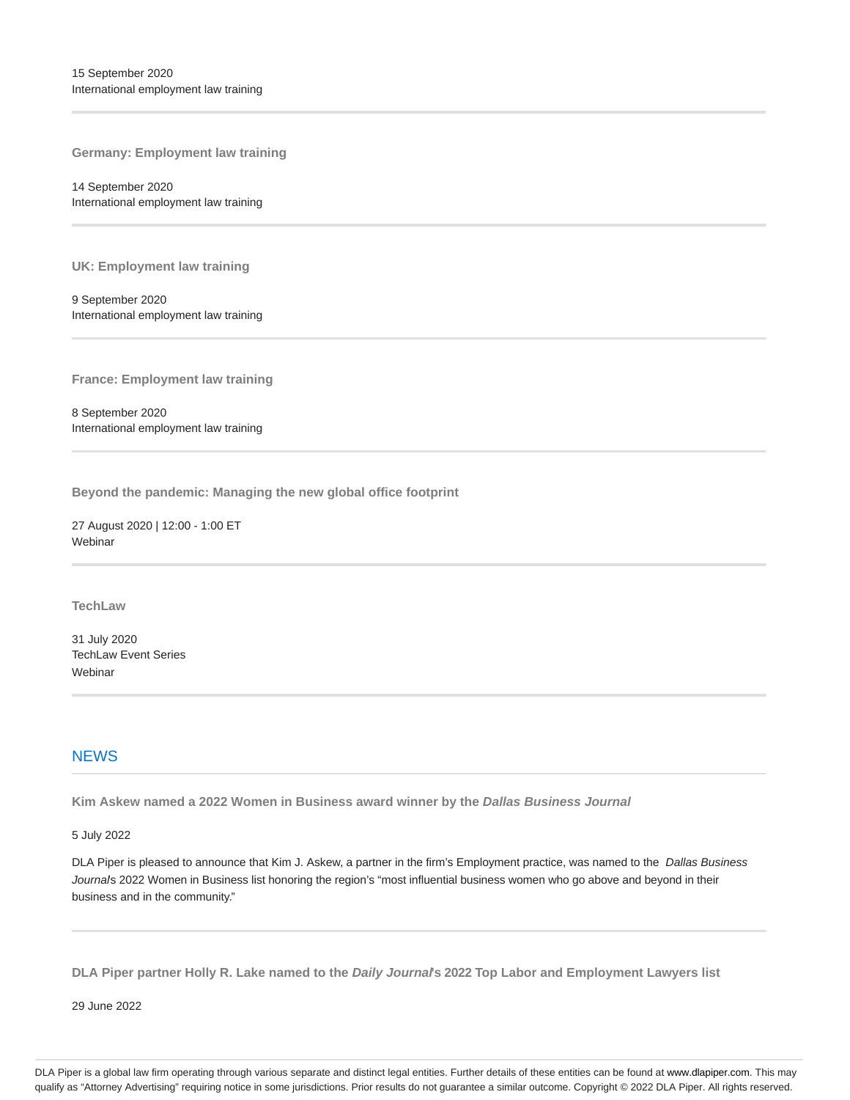**Germany: Employment law training**

14 September 2020 International employment law training

**UK: Employment law training**

9 September 2020 International employment law training

**France: Employment law training**

8 September 2020 International employment law training

**Beyond the pandemic: Managing the new global office footprint**

27 August 2020 | 12:00 - 1:00 ET Webinar

**TechLaw**

31 July 2020 TechLaw Event Series Webinar

# **NEWS**

**Kim Askew named a 2022 Women in Business award winner by the Dallas Business Journal**

5 July 2022

DLA Piper is pleased to announce that Kim J. Askew, a partner in the firm's Employment practice, was named to the Dallas Business Journals 2022 Women in Business list honoring the region's "most influential business women who go above and beyond in their business and in the community."

**DLA Piper partner Holly R. Lake named to the Daily Journal's 2022 Top Labor and Employment Lawyers list**

29 June 2022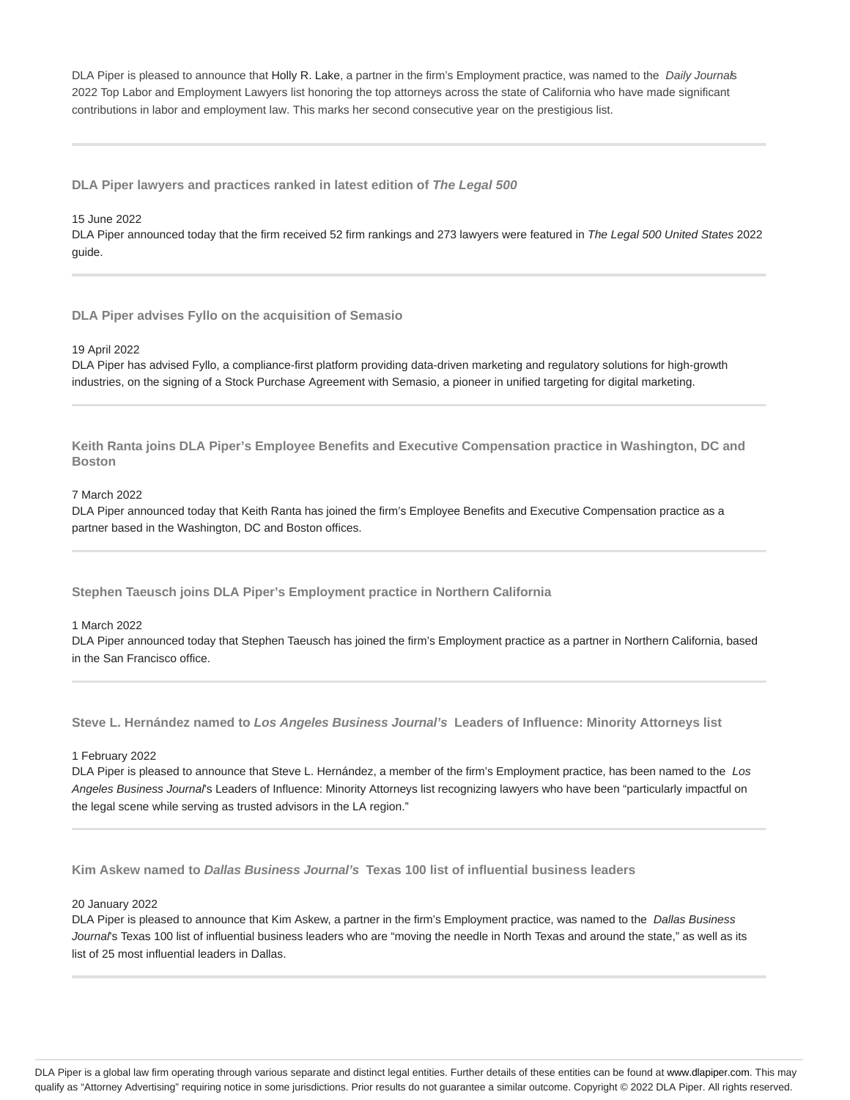DLA Piper is pleased to announce that Holly R. Lake, a partner in the firm's Employment practice, was named to the Daily Journals 2022 Top Labor and Employment Lawyers list honoring the top attorneys across the state of California who have made significant contributions in labor and employment law. This marks her second consecutive year on the prestigious list.

**DLA Piper lawyers and practices ranked in latest edition of The Legal 500**

#### 15 June 2022

DLA Piper announced today that the firm received 52 firm rankings and 273 lawyers were featured in The Legal 500 United States 2022 guide.

**DLA Piper advises Fyllo on the acquisition of Semasio**

#### 19 April 2022

DLA Piper has advised Fyllo, a compliance-first platform providing data-driven marketing and regulatory solutions for high-growth industries, on the signing of a Stock Purchase Agreement with Semasio, a pioneer in unified targeting for digital marketing.

**Keith Ranta joins DLA Piper's Employee Benefits and Executive Compensation practice in Washington, DC and Boston**

## 7 March 2022

DLA Piper announced today that Keith Ranta has joined the firm's Employee Benefits and Executive Compensation practice as a partner based in the Washington, DC and Boston offices.

**Stephen Taeusch joins DLA Piper's Employment practice in Northern California**

#### 1 March 2022

DLA Piper announced today that Stephen Taeusch has joined the firm's Employment practice as a partner in Northern California, based in the San Francisco office.

**Steve L. Hernández named to Los Angeles Business Journal's Leaders of Influence: Minority Attorneys list**

# 1 February 2022

DLA Piper is pleased to announce that Steve L. Hernández, a member of the firm's Employment practice, has been named to the Los Angeles Business Journal's Leaders of Influence: Minority Attorneys list recognizing lawyers who have been "particularly impactful on the legal scene while serving as trusted advisors in the LA region."

**Kim Askew named to Dallas Business Journal's Texas 100 list of influential business leaders**

#### 20 January 2022

DLA Piper is pleased to announce that Kim Askew, a partner in the firm's Employment practice, was named to the Dallas Business Journal's Texas 100 list of influential business leaders who are "moving the needle in North Texas and around the state," as well as its list of 25 most influential leaders in Dallas.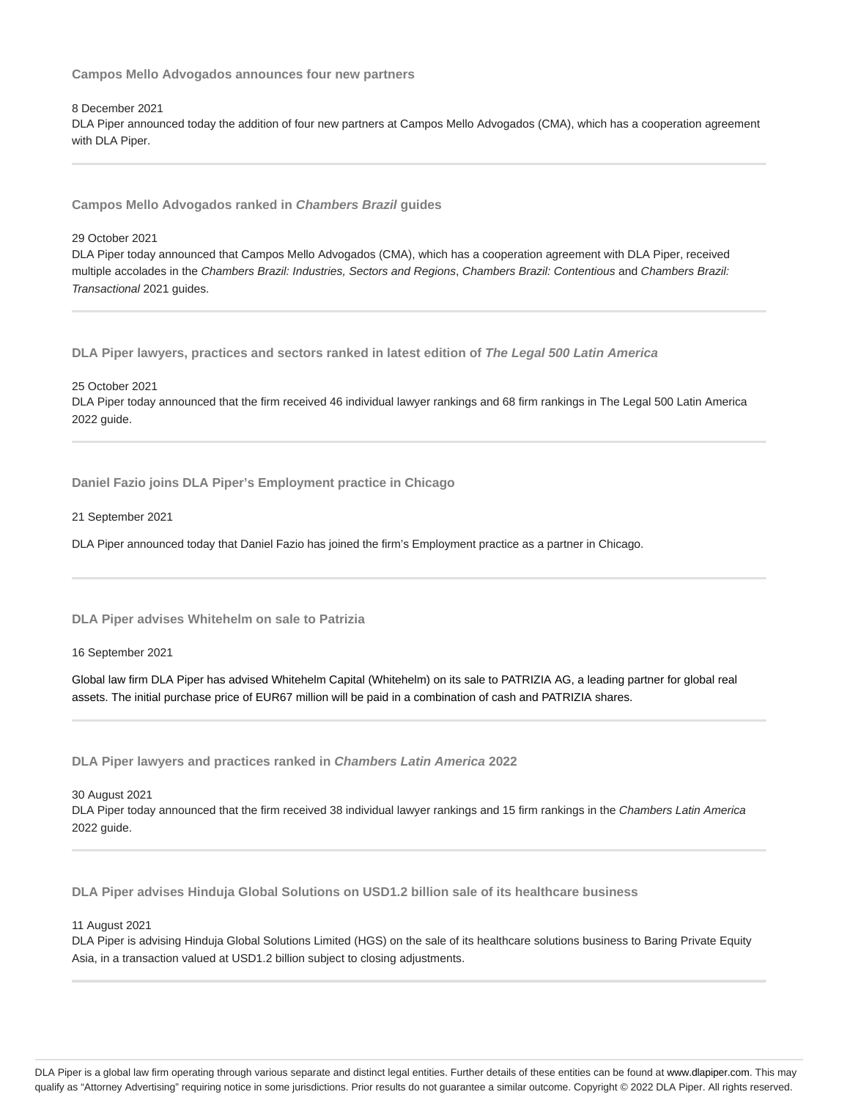**Campos Mello Advogados announces four new partners**

### 8 December 2021

DLA Piper announced today the addition of four new partners at Campos Mello Advogados (CMA), which has a cooperation agreement with DLA Piper.

**Campos Mello Advogados ranked in Chambers Brazil guides**

# 29 October 2021

DLA Piper today announced that Campos Mello Advogados (CMA), which has a cooperation agreement with DLA Piper, received multiple accolades in the Chambers Brazil: Industries, Sectors and Regions, Chambers Brazil: Contentious and Chambers Brazil: Transactional 2021 guides.

**DLA Piper lawyers, practices and sectors ranked in latest edition of The Legal 500 Latin America**

#### 25 October 2021

DLA Piper today announced that the firm received 46 individual lawyer rankings and 68 firm rankings in The Legal 500 Latin America 2022 guide.

**Daniel Fazio joins DLA Piper's Employment practice in Chicago**

#### 21 September 2021

DLA Piper announced today that Daniel Fazio has joined the firm's Employment practice as a partner in Chicago.

**DLA Piper advises Whitehelm on sale to Patrizia**

16 September 2021

Global law firm DLA Piper has advised Whitehelm Capital (Whitehelm) on its sale to PATRIZIA AG, a leading partner for global real assets. The initial purchase price of EUR67 million will be paid in a combination of cash and PATRIZIA shares.

**DLA Piper lawyers and practices ranked in Chambers Latin America 2022**

30 August 2021

DLA Piper today announced that the firm received 38 individual lawyer rankings and 15 firm rankings in the Chambers Latin America 2022 guide.

**DLA Piper advises Hinduja Global Solutions on USD1.2 billion sale of its healthcare business**

# 11 August 2021

DLA Piper is advising Hinduja Global Solutions Limited (HGS) on the sale of its healthcare solutions business to Baring Private Equity Asia, in a transaction valued at USD1.2 billion subject to closing adjustments.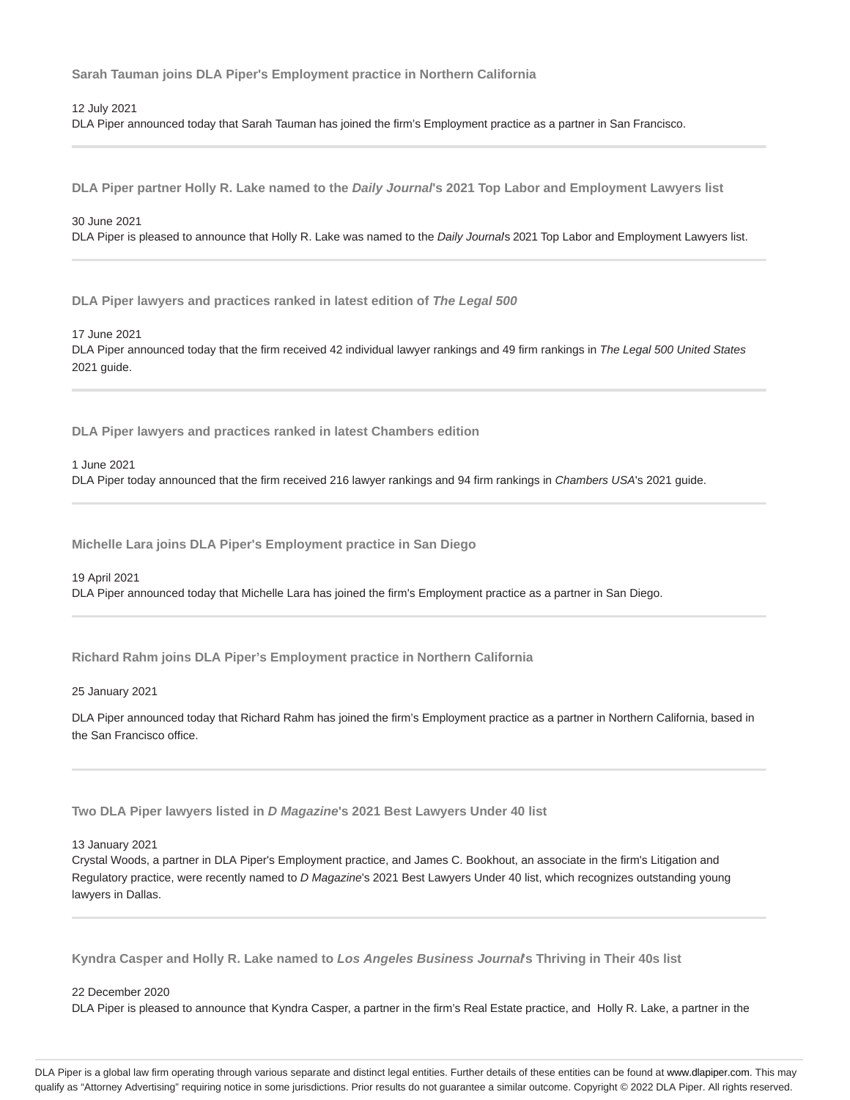**Sarah Tauman joins DLA Piper's Employment practice in Northern California**

12 July 2021

DLA Piper announced today that Sarah Tauman has joined the firm's Employment practice as a partner in San Francisco.

**DLA Piper partner Holly R. Lake named to the Daily Journal's 2021 Top Labor and Employment Lawyers list**

# 30 June 2021

DLA Piper is pleased to announce that Holly R. Lake was named to the Daily Journals 2021 Top Labor and Employment Lawyers list.

**DLA Piper lawyers and practices ranked in latest edition of The Legal 500**

#### 17 June 2021

DLA Piper announced today that the firm received 42 individual lawyer rankings and 49 firm rankings in The Legal 500 United States 2021 guide.

**DLA Piper lawyers and practices ranked in latest Chambers edition**

#### 1 June 2021

DLA Piper today announced that the firm received 216 lawyer rankings and 94 firm rankings in Chambers USA's 2021 guide.

**Michelle Lara joins DLA Piper's Employment practice in San Diego**

#### 19 April 2021

DLA Piper announced today that Michelle Lara has joined the firm's Employment practice as a partner in San Diego.

**Richard Rahm joins DLA Piper's Employment practice in Northern California**

25 January 2021

DLA Piper announced today that Richard Rahm has joined the firm's Employment practice as a partner in Northern California, based in the San Francisco office.

**Two DLA Piper lawyers listed in D Magazine's 2021 Best Lawyers Under 40 list**

#### 13 January 2021

Crystal Woods, a partner in DLA Piper's Employment practice, and James C. Bookhout, an associate in the firm's Litigation and Regulatory practice, were recently named to D Magazine's 2021 Best Lawyers Under 40 list, which recognizes outstanding young lawyers in Dallas.

**Kyndra Casper and Holly R. Lake named to Los Angeles Business Journal's Thriving in Their 40s list**

#### 22 December 2020

DLA Piper is pleased to announce that Kyndra Casper, a partner in the firm's Real Estate practice, and Holly R. Lake, a partner in the